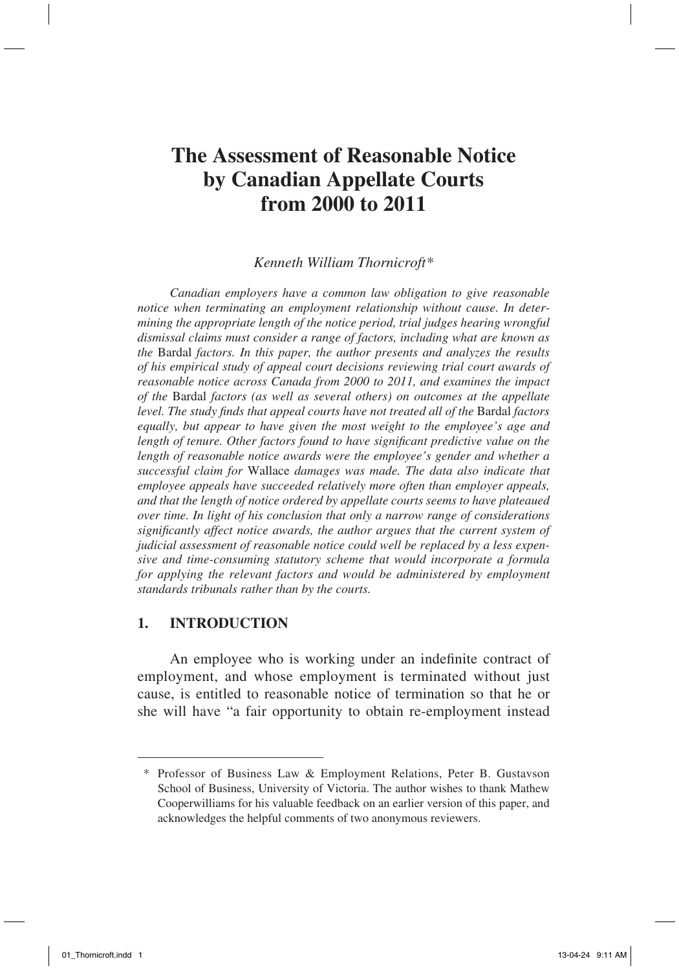# **The Assessment of Reasonable Notice by Canadian Appellate Courts from 2000 to 2011**

#### *Kenneth William Thornicroft\**

*Canadian employers have a common law obligation to give reasonable notice when terminating an employment relationship without cause. In determining the appropriate length of the notice period, trial judges hearing wrongful dismissal claims must consider a range of factors, including what are known as the* Bardal *factors. In this paper, the author presents and analyzes the results of his empirical study of appeal court decisions reviewing trial court awards of reasonable notice across Canada from 2000 to 2011, and examines the impact of the* Bardal *factors (as well as several others) on outcomes at the appellate level. The study finds that appeal courts have not treated all of the* Bardal *factors equally, but appear to have given the most weight to the employee's age and length of tenure. Other factors found to have significant predictive value on the length of reasonable notice awards were the employee's gender and whether a successful claim for* Wallace *damages was made. The data also indicate that employee appeals have succeeded relatively more often than employer appeals, and that the length of notice ordered by appellate courts seems to have plateaued over time. In light of his conclusion that only a narrow range of considerations significantly affect notice awards, the author argues that the current system of judicial assessment of reasonable notice could well be replaced by a less expensive and time-consuming statutory scheme that would incorporate a formula for applying the relevant factors and would be administered by employment standards tribunals rather than by the courts.*

#### **1. Introduction**

An employee who is working under an indefinite contract of employment, and whose employment is terminated without just cause, is entitled to reasonable notice of termination so that he or she will have "a fair opportunity to obtain re-employment instead

<sup>\*</sup> Professor of Business Law & Employment Relations, Peter B. Gustavson School of Business, University of Victoria. The author wishes to thank Mathew Cooperwilliams for his valuable feedback on an earlier version of this paper, and acknowledges the helpful comments of two anonymous reviewers.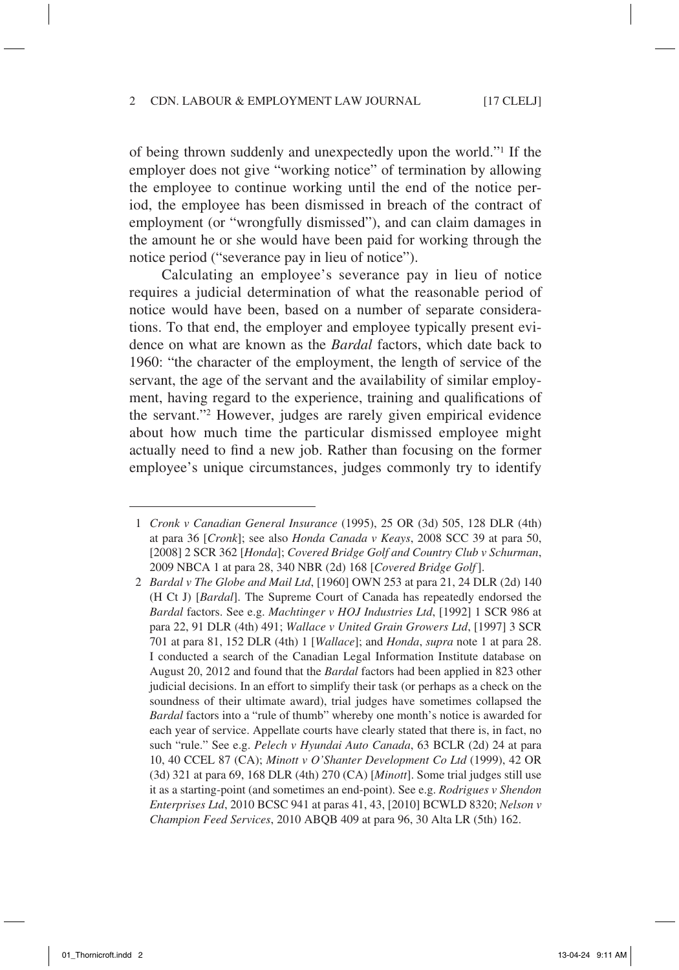of being thrown suddenly and unexpectedly upon the world."1 If the employer does not give "working notice" of termination by allowing the employee to continue working until the end of the notice period, the employee has been dismissed in breach of the contract of employment (or "wrongfully dismissed"), and can claim damages in the amount he or she would have been paid for working through the notice period ("severance pay in lieu of notice").

Calculating an employee's severance pay in lieu of notice requires a judicial determination of what the reasonable period of notice would have been, based on a number of separate considerations. To that end, the employer and employee typically present evidence on what are known as the *Bardal* factors, which date back to 1960: "the character of the employment, the length of service of the servant, the age of the servant and the availability of similar employment, having regard to the experience, training and qualifications of the servant."2 However, judges are rarely given empirical evidence about how much time the particular dismissed employee might actually need to find a new job. Rather than focusing on the former employee's unique circumstances, judges commonly try to identify

<sup>1</sup> *Cronk v Canadian General Insurance* (1995), 25 OR (3d) 505, 128 DLR (4th) at para 36 [*Cronk*]; see also *Honda Canada v Keays*, 2008 SCC 39 at para 50, [2008] 2 SCR 362 [*Honda*]; *Covered Bridge Golf and Country Club v Schurman*, 2009 NBCA 1 at para 28, 340 NBR (2d) 168 [*Covered Bridge Golf*].

<sup>2</sup> *Bardal v The Globe and Mail Ltd*, [1960] OWN 253 at para 21, 24 DLR (2d) 140 (H Ct J) [*Bardal*]. The Supreme Court of Canada has repeatedly endorsed the *Bardal* factors. See e.g. *Machtinger v HOJ Industries Ltd*, [1992] 1 SCR 986 at para 22, 91 DLR (4th) 491; *Wallace v United Grain Growers Ltd*, [1997] 3 SCR 701 at para 81, 152 DLR (4th) 1 [*Wallace*]; and *Honda*, *supra* note 1 at para 28. I conducted a search of the Canadian Legal Information Institute database on August 20, 2012 and found that the *Bardal* factors had been applied in 823 other judicial decisions. In an effort to simplify their task (or perhaps as a check on the soundness of their ultimate award), trial judges have sometimes collapsed the *Bardal* factors into a "rule of thumb" whereby one month's notice is awarded for each year of service. Appellate courts have clearly stated that there is, in fact, no such "rule." See e.g. *Pelech v Hyundai Auto Canada*, 63 BCLR (2d) 24 at para 10, 40 CCEL 87 (CA); *Minott v O'Shanter Development Co Ltd* (1999), 42 OR (3d) 321 at para 69, 168 DLR (4th) 270 (CA) [*Minott*]. Some trial judges still use it as a starting-point (and sometimes an end-point). See e.g. *Rodrigues v Shendon Enterprises Ltd*, 2010 BCSC 941 at paras 41, 43, [2010] BCWLD 8320; *Nelson v Champion Feed Services*, 2010 ABQB 409 at para 96, 30 Alta LR (5th) 162.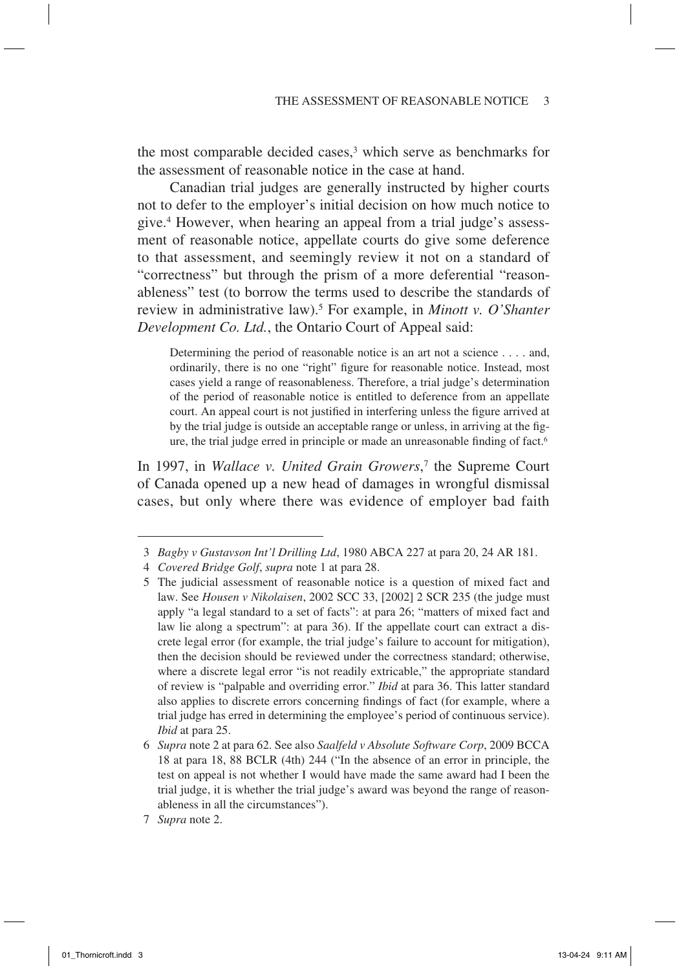the most comparable decided cases,<sup>3</sup> which serve as benchmarks for the assessment of reasonable notice in the case at hand.

Canadian trial judges are generally instructed by higher courts not to defer to the employer's initial decision on how much notice to give.4 However, when hearing an appeal from a trial judge's assessment of reasonable notice, appellate courts do give some deference to that assessment, and seemingly review it not on a standard of "correctness" but through the prism of a more deferential "reasonableness" test (to borrow the terms used to describe the standards of review in administrative law).5 For example, in *Minott v. O'Shanter Development Co. Ltd.*, the Ontario Court of Appeal said:

Determining the period of reasonable notice is an art not a science . . . . and, ordinarily, there is no one "right" figure for reasonable notice. Instead, most cases yield a range of reasonableness. Therefore, a trial judge's determination of the period of reasonable notice is entitled to deference from an appellate court. An appeal court is not justified in interfering unless the figure arrived at by the trial judge is outside an acceptable range or unless, in arriving at the figure, the trial judge erred in principle or made an unreasonable finding of fact.6

In 1997, in *Wallace v. United Grain Growers*, 7 the Supreme Court of Canada opened up a new head of damages in wrongful dismissal cases, but only where there was evidence of employer bad faith

<sup>3</sup> *Bagby v Gustavson Int'l Drilling Ltd*, 1980 ABCA 227 at para 20, 24 AR 181.

<sup>4</sup> *Covered Bridge Golf*, *supra* note 1 at para 28.

<sup>5</sup> The judicial assessment of reasonable notice is a question of mixed fact and law. See *Housen v Nikolaisen*, 2002 SCC 33, [2002] 2 SCR 235 (the judge must apply "a legal standard to a set of facts": at para 26; "matters of mixed fact and law lie along a spectrum": at para 36). If the appellate court can extract a discrete legal error (for example, the trial judge's failure to account for mitigation), then the decision should be reviewed under the correctness standard; otherwise, where a discrete legal error "is not readily extricable," the appropriate standard of review is "palpable and overriding error." *Ibid* at para 36. This latter standard also applies to discrete errors concerning findings of fact (for example, where a trial judge has erred in determining the employee's period of continuous service). *Ibid* at para 25.

<sup>6</sup> *Supra* note 2 at para 62. See also *Saalfeld v Absolute Software Corp*, 2009 BCCA 18 at para 18, 88 BCLR (4th) 244 ("In the absence of an error in principle, the test on appeal is not whether I would have made the same award had I been the trial judge, it is whether the trial judge's award was beyond the range of reasonableness in all the circumstances").

<sup>7</sup> *Supra* note 2.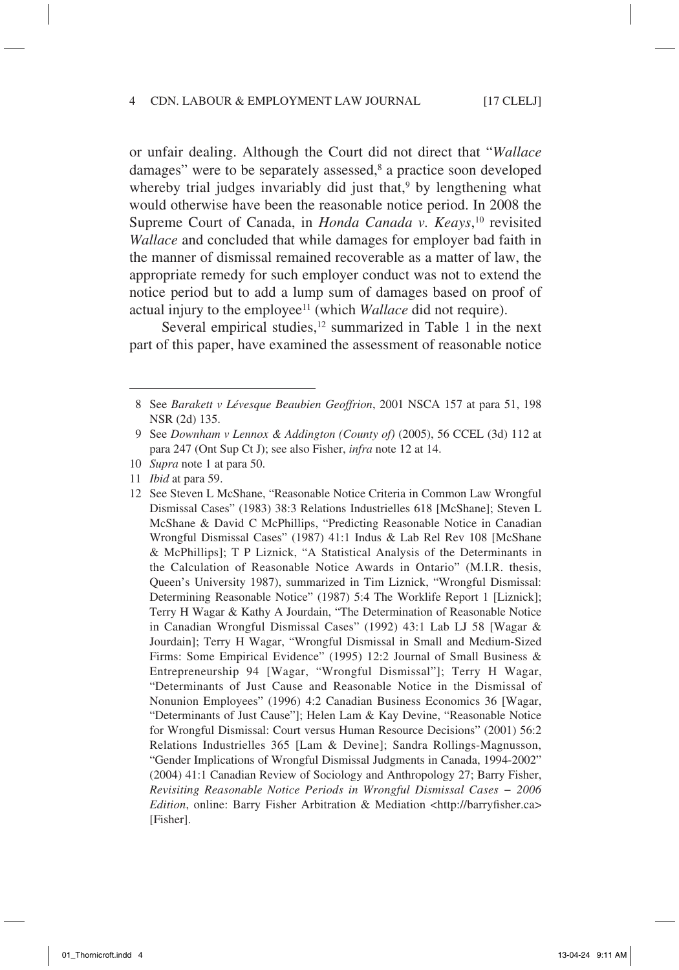or unfair dealing. Although the Court did not direct that "*Wallace* damages" were to be separately assessed,<sup>8</sup> a practice soon developed whereby trial judges invariably did just that,<sup>9</sup> by lengthening what would otherwise have been the reasonable notice period. In 2008 the Supreme Court of Canada, in *Honda Canada v. Keays*, 10 revisited *Wallace* and concluded that while damages for employer bad faith in the manner of dismissal remained recoverable as a matter of law, the appropriate remedy for such employer conduct was not to extend the notice period but to add a lump sum of damages based on proof of actual injury to the employee<sup>11</sup> (which *Wallace* did not require).

Several empirical studies,<sup>12</sup> summarized in Table 1 in the next part of this paper, have examined the assessment of reasonable notice

<sup>8</sup> See *Barakett v Lévesque Beaubien Geoffrion*, 2001 NSCA 157 at para 51, 198 NSR (2d) 135.

<sup>9</sup> See *Downham v Lennox & Addington (County of)* (2005), 56 CCEL (3d) 112 at para 247 (Ont Sup Ct J); see also Fisher, *infra* note 12 at 14.

<sup>10</sup> *Supra* note 1 at para 50.

<sup>11</sup> *Ibid* at para 59.

<sup>12</sup> See Steven L McShane, "Reasonable Notice Criteria in Common Law Wrongful Dismissal Cases" (1983) 38:3 Relations Industrielles 618 [McShane]; Steven L McShane & David C McPhillips, "Predicting Reasonable Notice in Canadian Wrongful Dismissal Cases" (1987) 41:1 Indus & Lab Rel Rev 108 [McShane & McPhillips]; T P Liznick, "A Statistical Analysis of the Determinants in the Calculation of Reasonable Notice Awards in Ontario" (M.I.R. thesis, Queen's University 1987), summarized in Tim Liznick, "Wrongful Dismissal: Determining Reasonable Notice" (1987) 5:4 The Worklife Report 1 [Liznick]; Terry H Wagar & Kathy A Jourdain, "The Determination of Reasonable Notice in Canadian Wrongful Dismissal Cases" (1992) 43:1 Lab LJ 58 [Wagar & Jourdain]; Terry H Wagar, "Wrongful Dismissal in Small and Medium-Sized Firms: Some Empirical Evidence" (1995) 12:2 Journal of Small Business & Entrepreneurship 94 [Wagar, "Wrongful Dismissal"]; Terry H Wagar, "Determinants of Just Cause and Reasonable Notice in the Dismissal of Nonunion Employees" (1996) 4:2 Canadian Business Economics 36 [Wagar, "Determinants of Just Cause"]; Helen Lam & Kay Devine, "Reasonable Notice for Wrongful Dismissal: Court versus Human Resource Decisions" (2001) 56:2 Relations Industrielles 365 [Lam & Devine]; Sandra Rollings-Magnusson, "Gender Implications of Wrongful Dismissal Judgments in Canada, 1994-2002" (2004) 41:1 Canadian Review of Sociology and Anthropology 27; Barry Fisher, *Revisiting Reasonable Notice Periods in Wrongful Dismissal Cases − 2006 Edition*, online: Barry Fisher Arbitration & Mediation <http://barryfisher.ca> [Fisher].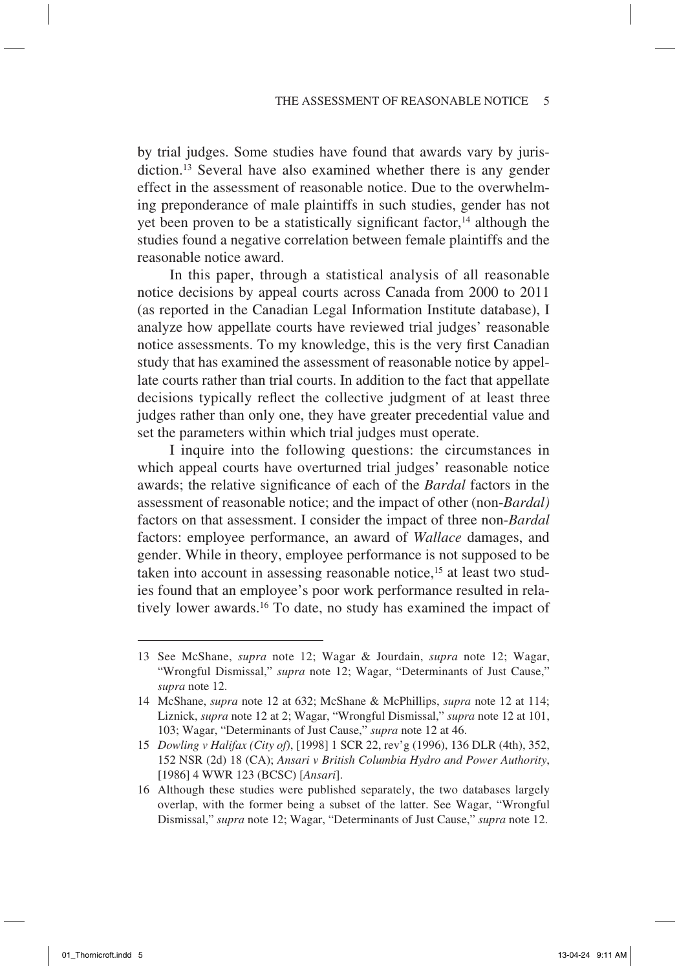by trial judges. Some studies have found that awards vary by jurisdiction.13 Several have also examined whether there is any gender effect in the assessment of reasonable notice. Due to the overwhelming preponderance of male plaintiffs in such studies, gender has not yet been proven to be a statistically significant factor, $14$  although the studies found a negative correlation between female plaintiffs and the reasonable notice award.

In this paper, through a statistical analysis of all reasonable notice decisions by appeal courts across Canada from 2000 to 2011 (as reported in the Canadian Legal Information Institute database), I analyze how appellate courts have reviewed trial judges' reasonable notice assessments. To my knowledge, this is the very first Canadian study that has examined the assessment of reasonable notice by appellate courts rather than trial courts. In addition to the fact that appellate decisions typically reflect the collective judgment of at least three judges rather than only one, they have greater precedential value and set the parameters within which trial judges must operate.

I inquire into the following questions: the circumstances in which appeal courts have overturned trial judges' reasonable notice awards; the relative significance of each of the *Bardal* factors in the assessment of reasonable notice; and the impact of other (non-*Bardal)*  factors on that assessment. I consider the impact of three non-*Bardal*  factors: employee performance, an award of *Wallace* damages, and gender. While in theory, employee performance is not supposed to be taken into account in assessing reasonable notice,<sup>15</sup> at least two studies found that an employee's poor work performance resulted in relatively lower awards.16 To date, no study has examined the impact of

<sup>13</sup> See McShane, *supra* note 12; Wagar & Jourdain, *supra* note 12; Wagar, "Wrongful Dismissal," *supra* note 12; Wagar, "Determinants of Just Cause," *supra* note 12.

<sup>14</sup> McShane, *supra* note 12 at 632; McShane & McPhillips, *supra* note 12 at 114; Liznick, *supra* note 12 at 2; Wagar, "Wrongful Dismissal," *supra* note 12 at 101, 103; Wagar, "Determinants of Just Cause," *supra* note 12 at 46.

<sup>15</sup> *Dowling v Halifax (City of)*, [1998] 1 SCR 22, rev'g (1996), 136 DLR (4th), 352, 152 NSR (2d) 18 (CA); *Ansari v British Columbia Hydro and Power Authority*, [1986] 4 WWR 123 (BCSC) [*Ansari*].

<sup>16</sup> Although these studies were published separately, the two databases largely overlap, with the former being a subset of the latter. See Wagar, "Wrongful Dismissal," *supra* note 12; Wagar, "Determinants of Just Cause," *supra* note 12.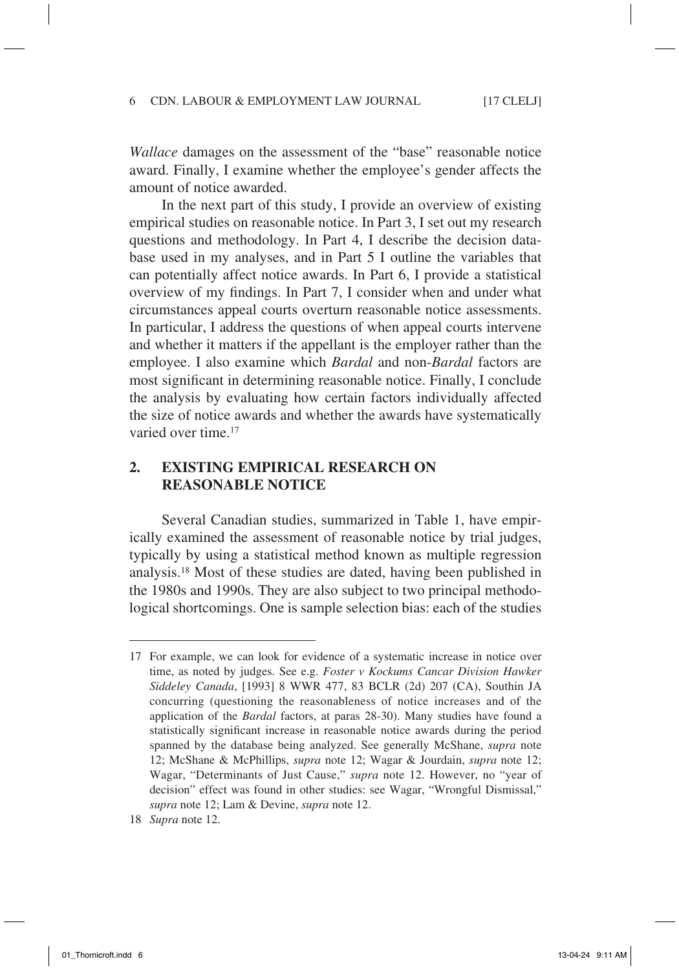*Wallace* damages on the assessment of the "base" reasonable notice award. Finally, I examine whether the employee's gender affects the amount of notice awarded.

In the next part of this study, I provide an overview of existing empirical studies on reasonable notice. In Part 3, I set out my research questions and methodology. In Part 4, I describe the decision database used in my analyses, and in Part 5 I outline the variables that can potentially affect notice awards. In Part 6, I provide a statistical overview of my findings. In Part 7, I consider when and under what circumstances appeal courts overturn reasonable notice assessments. In particular, I address the questions of when appeal courts intervene and whether it matters if the appellant is the employer rather than the employee. I also examine which *Bardal* and non-*Bardal* factors are most significant in determining reasonable notice. Finally, I conclude the analysis by evaluating how certain factors individually affected the size of notice awards and whether the awards have systematically varied over time.17

## **2. Existing Empirical Research on Reasonable Notice**

Several Canadian studies, summarized in Table 1, have empirically examined the assessment of reasonable notice by trial judges, typically by using a statistical method known as multiple regression analysis.18 Most of these studies are dated, having been published in the 1980s and 1990s. They are also subject to two principal methodological shortcomings. One is sample selection bias: each of the studies

<sup>17</sup> For example, we can look for evidence of a systematic increase in notice over time, as noted by judges. See e.g. *Foster v Kockums Cancar Division Hawker Siddeley Canada*, [1993] 8 WWR 477, 83 BCLR (2d) 207 (CA), Southin JA concurring (questioning the reasonableness of notice increases and of the application of the *Bardal* factors, at paras 28-30). Many studies have found a statistically significant increase in reasonable notice awards during the period spanned by the database being analyzed. See generally McShane, *supra* note 12; McShane & McPhillips, *supra* note 12; Wagar & Jourdain, *supra* note 12; Wagar, "Determinants of Just Cause," *supra* note 12. However, no "year of decision" effect was found in other studies: see Wagar, "Wrongful Dismissal," *supra* note 12; Lam & Devine, *supra* note 12.

<sup>18</sup> *Supra* note 12.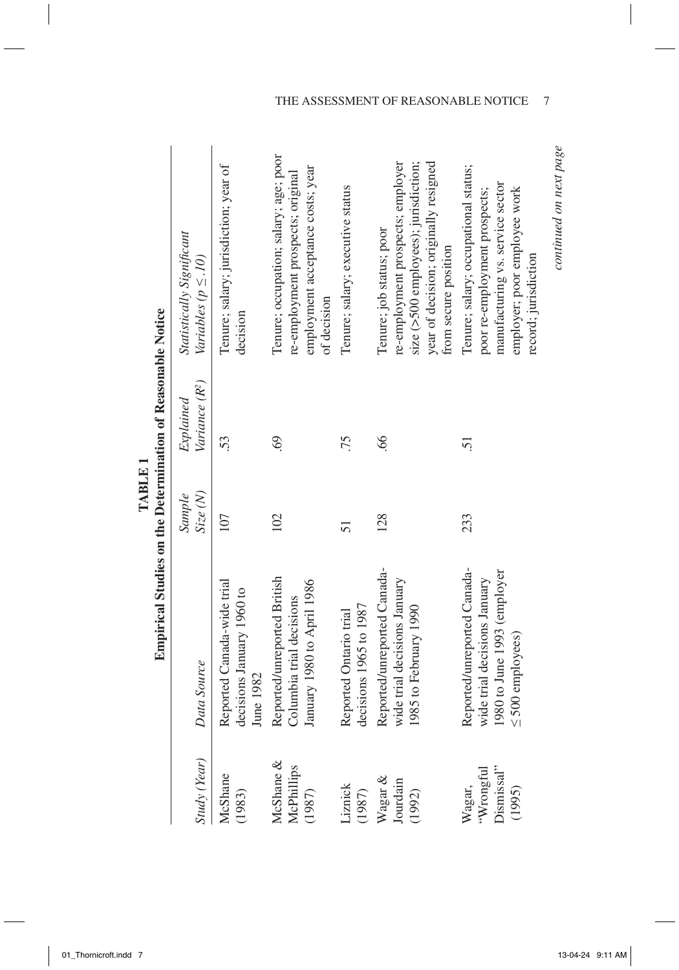|                                              | <b>Empirical Studies on the Determination of Reasonable Notice</b>                                                  |                   |                                         |                                                                                                                                                                        |
|----------------------------------------------|---------------------------------------------------------------------------------------------------------------------|-------------------|-----------------------------------------|------------------------------------------------------------------------------------------------------------------------------------------------------------------------|
| Study (Year)                                 | Data Source                                                                                                         | Size(N)<br>Sample | Variance (R <sup>2</sup> )<br>Explained | Statistically Significant<br>Variables ( $p \leq .10$ )                                                                                                                |
| McShane<br>(1983)                            | Reported Canada-wide trial<br>decisions January 1960 to<br>June 1982                                                | 107               | 53.                                     | Tenure; salary; jurisdiction; year of<br>decision                                                                                                                      |
| McShane &<br>McPhillips<br>(1987)            | Reported/unreported British<br>January 1980 to April 1986<br>Columbia trial decisions                               | 102               | 69                                      | Tenure; occupation; salary; age; poor<br>employment acceptance costs; year<br>re-employment prospects; original<br>of decision                                         |
| Liznick<br>(1987)                            | decisions 1965 to 1987<br>Reported Ontario trial                                                                    | 51                | .75                                     | Tenure; salary; executive status                                                                                                                                       |
| Wagar &<br>Jourdain<br>(1992)                | Reported/unreported Canada-<br>wide trial decisions January<br>1985 to February 1990                                | 128               | $\mathcal{S}$                           | size (>500 employees); jurisdiction;<br>re-employment prospects; employer<br>year of decision; originally resigned<br>Tenure; job status; poor<br>from secure position |
| Dismissal"<br>"Wrongful"<br>Wagar,<br>(1995) | Reported/unreported Canada-<br>1980 to June 1993 (employer<br>wide trial decisions January<br>$\leq$ 500 employees) | 233               | 5                                       | Tenure; salary; occupational status;<br>manufacturing vs. service sector<br>employer; poor employee work<br>poor re-employment prospects;<br>record; jurisdiction      |

**Determination of Reasonable Notice** É  $\mathbf{a}^{\mathrm{th}}$ TABLE 1 **TABLE 1 Studies on the**   $\ddot{\phantom{0}}$ Ė  $-1$  C<sub>4</sub>

THE ASSESSMENT OF REASONABLE NOTICE 7

continued on next page *continued on next page*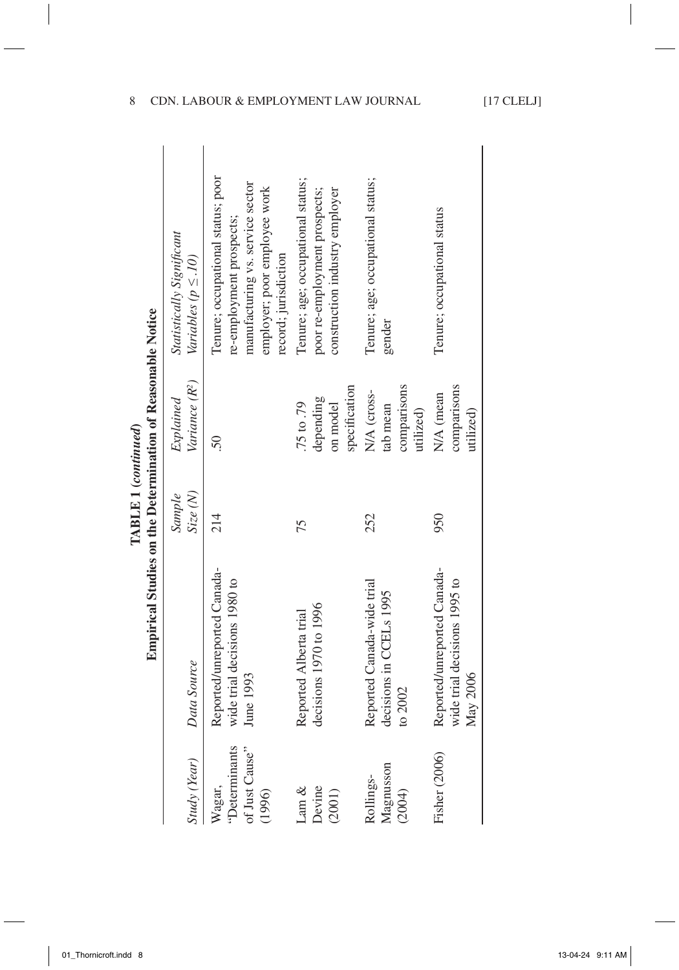|                                                     | Empirical Studies on the Determination of Reasonable Notice              |                                               |                                                     |                                                                                                                                                           |
|-----------------------------------------------------|--------------------------------------------------------------------------|-----------------------------------------------|-----------------------------------------------------|-----------------------------------------------------------------------------------------------------------------------------------------------------------|
| Study (Year)                                        | Data Source                                                              | $\operatorname{Size}\left(N\right)$<br>Sample | Variance (R <sup>2</sup> )<br>Explained             | Statistically Significant<br>Variables ( $p \leq .10$ )                                                                                                   |
| "Determinants<br>of Just Cause"<br>Wagar,<br>(1996) | Reported/unreported Canada-<br>wide trial decisions 1980 to<br>June 1993 | 214                                           | 50                                                  | Tenure; occupational status; poor<br>manufacturing vs. service sector<br>employer; poor employee work<br>re-employment prospects;<br>record; jurisdiction |
| Devine<br>Lam $\&$<br>(2001)                        | decisions 1970 to 1996<br>Reported Alberta trial                         | 75                                            | specification<br>depending<br>75 to .79<br>on model | Tenure; age; occupational status;<br>poor re-employment prospects;<br>construction industry employer                                                      |
| Magnusson<br>Rollings-<br>(2004)                    | Reported Canada-wide trial<br>decisions in CCELs 1995<br>to $2002$       | 252                                           | comparisons<br>N/A (cross-<br>tab mean<br>utilized) | Tenure; age; occupational status;<br>gender                                                                                                               |
| <b>Fisher</b> (2006)                                | Reported/unreported Canada-<br>wide trial decisions 1995 to<br>May 2006  | 950                                           | comparisons<br>N/A (mean<br>utilized)               | Tenure; occupational status                                                                                                                               |
|                                                     |                                                                          |                                               |                                                     |                                                                                                                                                           |

**TABLE 1 (***continued***)**

TABLE 1 (continued)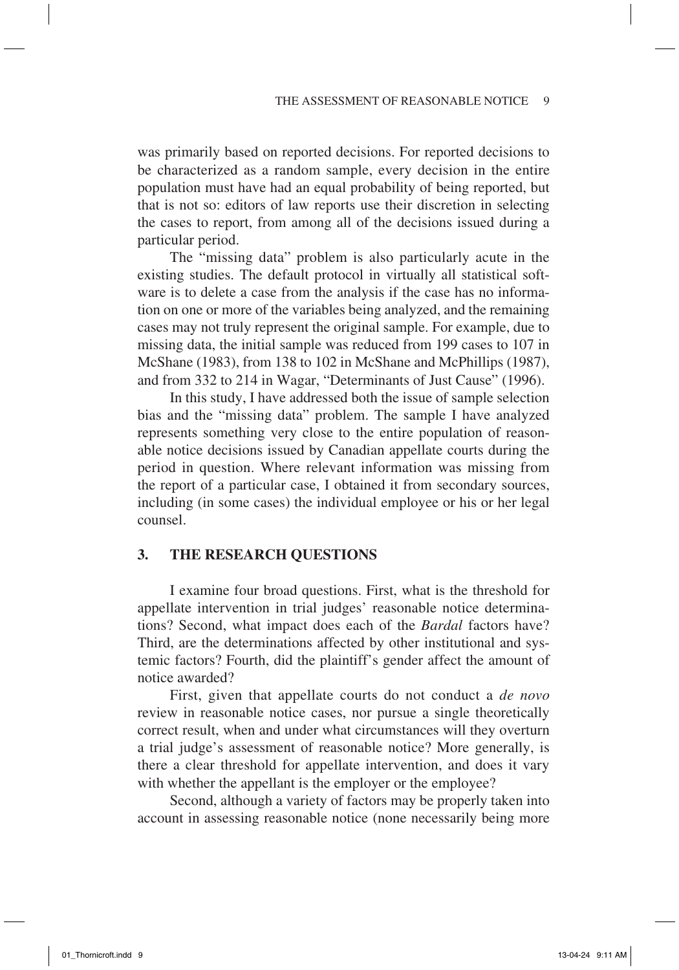was primarily based on reported decisions. For reported decisions to be characterized as a random sample, every decision in the entire population must have had an equal probability of being reported, but that is not so: editors of law reports use their discretion in selecting the cases to report, from among all of the decisions issued during a particular period.

The "missing data" problem is also particularly acute in the existing studies. The default protocol in virtually all statistical software is to delete a case from the analysis if the case has no information on one or more of the variables being analyzed, and the remaining cases may not truly represent the original sample. For example, due to missing data, the initial sample was reduced from 199 cases to 107 in McShane (1983), from 138 to 102 in McShane and McPhillips (1987), and from 332 to 214 in Wagar, "Determinants of Just Cause" (1996).

In this study, I have addressed both the issue of sample selection bias and the "missing data" problem. The sample I have analyzed represents something very close to the entire population of reasonable notice decisions issued by Canadian appellate courts during the period in question. Where relevant information was missing from the report of a particular case, I obtained it from secondary sources, including (in some cases) the individual employee or his or her legal counsel.

## **3. The Research Questions**

I examine four broad questions. First, what is the threshold for appellate intervention in trial judges' reasonable notice determinations? Second, what impact does each of the *Bardal* factors have? Third, are the determinations affected by other institutional and systemic factors? Fourth, did the plaintiff's gender affect the amount of notice awarded?

First, given that appellate courts do not conduct a *de novo* review in reasonable notice cases, nor pursue a single theoretically correct result, when and under what circumstances will they overturn a trial judge's assessment of reasonable notice? More generally, is there a clear threshold for appellate intervention, and does it vary with whether the appellant is the employer or the employee?

Second, although a variety of factors may be properly taken into account in assessing reasonable notice (none necessarily being more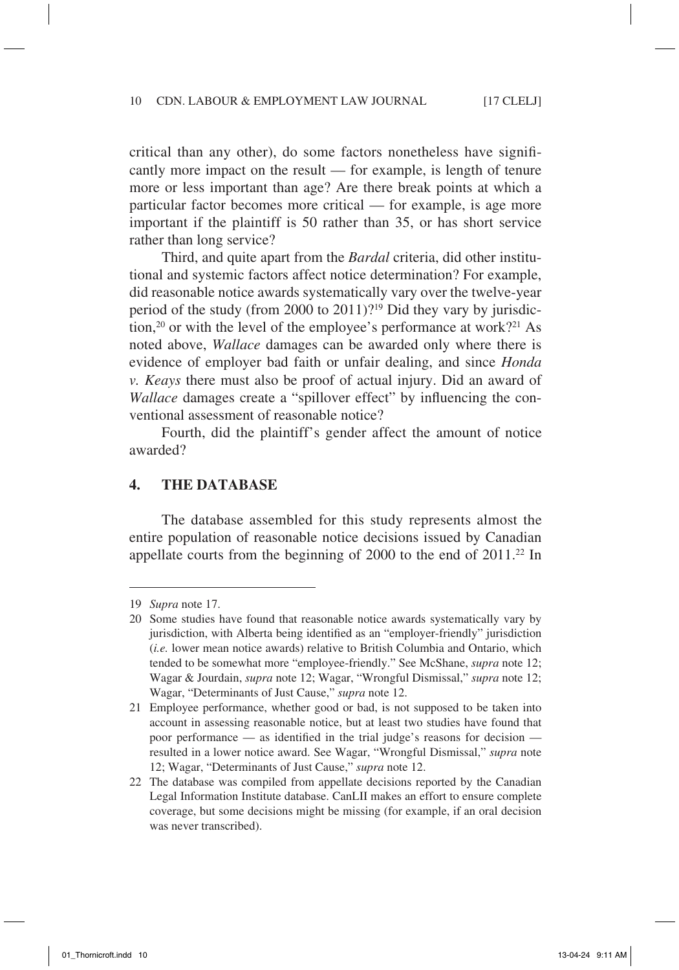critical than any other), do some factors nonetheless have significantly more impact on the result — for example, is length of tenure more or less important than age? Are there break points at which a particular factor becomes more critical — for example, is age more important if the plaintiff is 50 rather than 35, or has short service rather than long service?

Third, and quite apart from the *Bardal* criteria, did other institutional and systemic factors affect notice determination? For example, did reasonable notice awards systematically vary over the twelve-year period of the study (from 2000 to 2011)?19 Did they vary by jurisdiction,<sup>20</sup> or with the level of the employee's performance at work?<sup>21</sup> As noted above, *Wallace* damages can be awarded only where there is evidence of employer bad faith or unfair dealing, and since *Honda v. Keays* there must also be proof of actual injury. Did an award of *Wallace* damages create a "spillover effect" by influencing the conventional assessment of reasonable notice?

Fourth, did the plaintiff's gender affect the amount of notice awarded?

### **4. The Database**

The database assembled for this study represents almost the entire population of reasonable notice decisions issued by Canadian appellate courts from the beginning of 2000 to the end of 2011.<sup>22</sup> In

<sup>19</sup> *Supra* note 17.

<sup>20</sup> Some studies have found that reasonable notice awards systematically vary by jurisdiction, with Alberta being identified as an "employer-friendly" jurisdiction (*i.e.* lower mean notice awards) relative to British Columbia and Ontario, which tended to be somewhat more "employee-friendly." See McShane, *supra* note 12; Wagar & Jourdain, *supra* note 12; Wagar, "Wrongful Dismissal," *supra* note 12; Wagar, "Determinants of Just Cause," *supra* note 12.

<sup>21</sup> Employee performance, whether good or bad, is not supposed to be taken into account in assessing reasonable notice, but at least two studies have found that poor performance — as identified in the trial judge's reasons for decision resulted in a lower notice award. See Wagar, "Wrongful Dismissal," *supra* note 12; Wagar, "Determinants of Just Cause," *supra* note 12.

<sup>22</sup> The database was compiled from appellate decisions reported by the Canadian Legal Information Institute database. CanLII makes an effort to ensure complete coverage, but some decisions might be missing (for example, if an oral decision was never transcribed).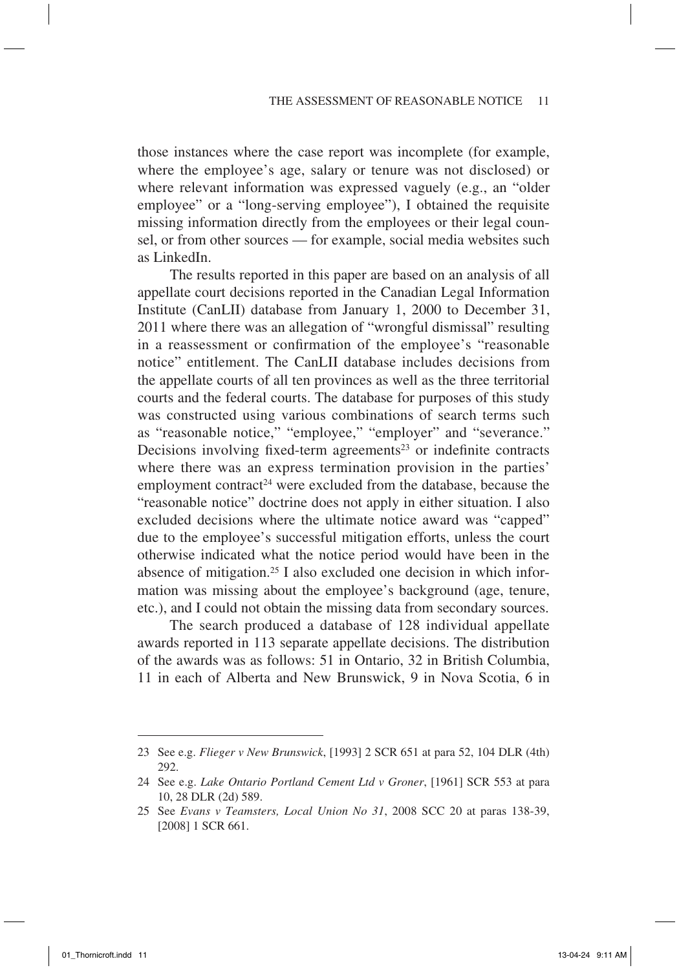those instances where the case report was incomplete (for example, where the employee's age, salary or tenure was not disclosed) or where relevant information was expressed vaguely (e.g., an "older employee" or a "long-serving employee"), I obtained the requisite missing information directly from the employees or their legal counsel, or from other sources — for example, social media websites such as LinkedIn.

The results reported in this paper are based on an analysis of all appellate court decisions reported in the Canadian Legal Information Institute (CanLII) database from January 1, 2000 to December 31, 2011 where there was an allegation of "wrongful dismissal" resulting in a reassessment or confirmation of the employee's "reasonable notice" entitlement. The CanLII database includes decisions from the appellate courts of all ten provinces as well as the three territorial courts and the federal courts. The database for purposes of this study was constructed using various combinations of search terms such as "reasonable notice," "employee," "employer" and "severance." Decisions involving fixed-term agreements<sup>23</sup> or indefinite contracts where there was an express termination provision in the parties' employment contract<sup>24</sup> were excluded from the database, because the "reasonable notice" doctrine does not apply in either situation. I also excluded decisions where the ultimate notice award was "capped" due to the employee's successful mitigation efforts, unless the court otherwise indicated what the notice period would have been in the absence of mitigation.25 I also excluded one decision in which information was missing about the employee's background (age, tenure, etc.), and I could not obtain the missing data from secondary sources.

The search produced a database of 128 individual appellate awards reported in 113 separate appellate decisions. The distribution of the awards was as follows: 51 in Ontario, 32 in British Columbia, 11 in each of Alberta and New Brunswick, 9 in Nova Scotia, 6 in

<sup>23</sup> See e.g. *Flieger v New Brunswick*, [1993] 2 SCR 651 at para 52, 104 DLR (4th) 292.

<sup>24</sup> See e.g. *Lake Ontario Portland Cement Ltd v Groner*, [1961] SCR 553 at para 10, 28 DLR (2d) 589.

<sup>25</sup> See *Evans v Teamsters, Local Union No 31*, 2008 SCC 20 at paras 138-39, [2008] 1 SCR 661.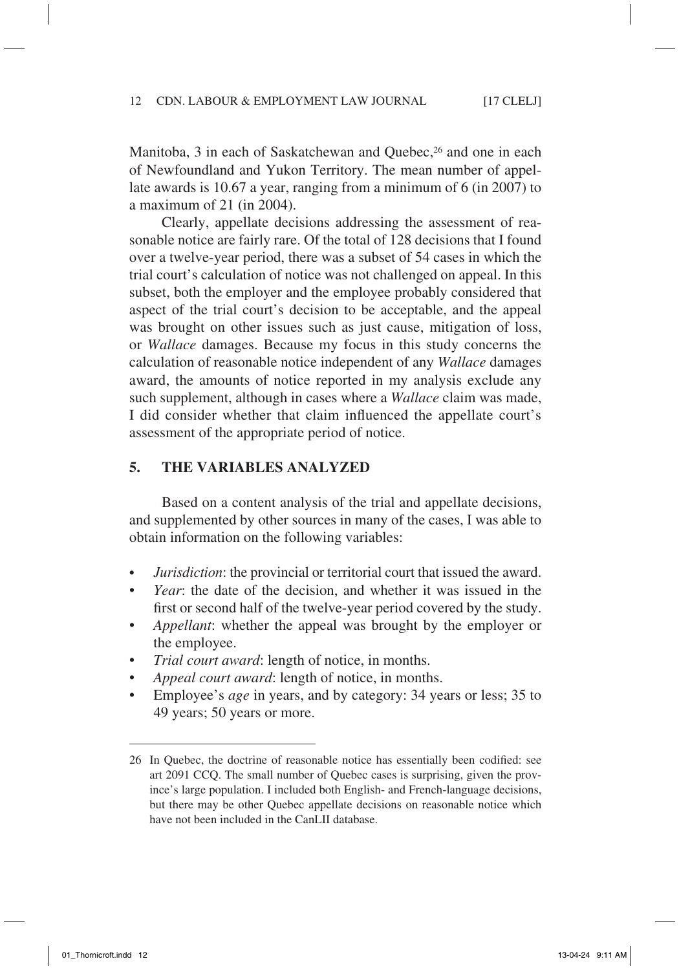Manitoba, 3 in each of Saskatchewan and Quebec,<sup>26</sup> and one in each of Newfoundland and Yukon Territory. The mean number of appellate awards is 10.67 a year, ranging from a minimum of 6 (in 2007) to a maximum of 21 (in 2004).

Clearly, appellate decisions addressing the assessment of reasonable notice are fairly rare. Of the total of 128 decisions that I found over a twelve-year period, there was a subset of 54 cases in which the trial court's calculation of notice was not challenged on appeal. In this subset, both the employer and the employee probably considered that aspect of the trial court's decision to be acceptable, and the appeal was brought on other issues such as just cause, mitigation of loss, or *Wallace* damages. Because my focus in this study concerns the calculation of reasonable notice independent of any *Wallace* damages award, the amounts of notice reported in my analysis exclude any such supplement, although in cases where a *Wallace* claim was made, I did consider whether that claim influenced the appellate court's assessment of the appropriate period of notice.

## **5. The Variables Analyzed**

Based on a content analysis of the trial and appellate decisions, and supplemented by other sources in many of the cases, I was able to obtain information on the following variables:

- *Jurisdiction*: the provincial or territorial court that issued the award.
- *Year*: the date of the decision, and whether it was issued in the first or second half of the twelve-year period covered by the study.
- *Appellant*: whether the appeal was brought by the employer or the employee.
- *Trial court award*: length of notice, in months.
- *Appeal court award*: length of notice, in months.
- Employee's *age* in years, and by category: 34 years or less; 35 to 49 years; 50 years or more.

<sup>26</sup> In Quebec, the doctrine of reasonable notice has essentially been codified: see art 2091 CCQ. The small number of Quebec cases is surprising, given the province's large population. I included both English- and French-language decisions, but there may be other Quebec appellate decisions on reasonable notice which have not been included in the CanLII database.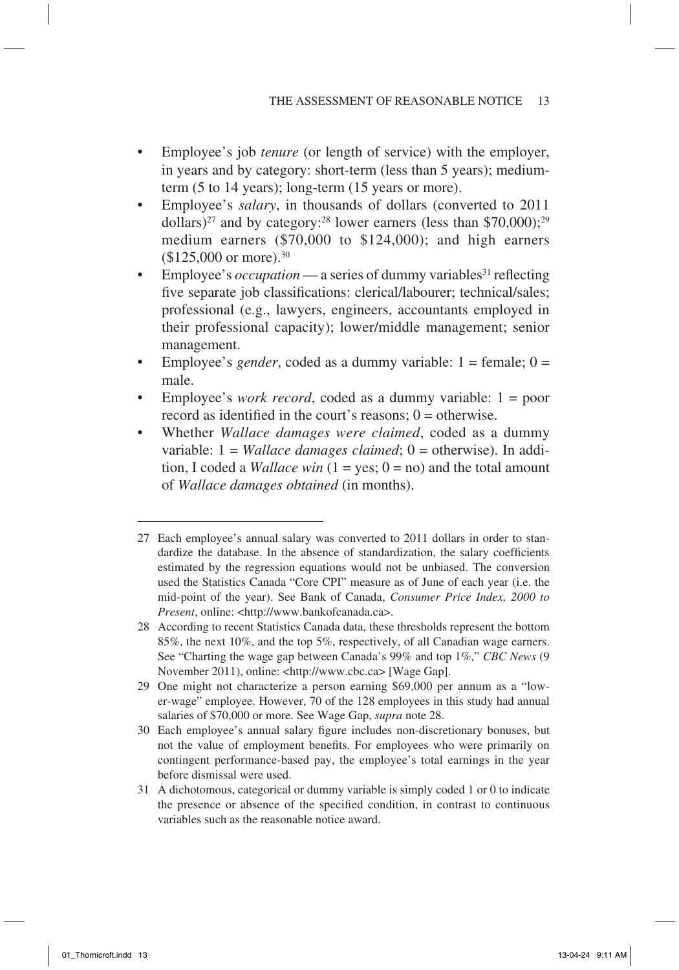- Employee's job *tenure* (or length of service) with the employer, in years and by category: short-term (less than 5 years); mediumterm (5 to 14 years); long-term (15 years or more).
- Employee's *salary*, in thousands of dollars (converted to 2011 dollars)<sup>27</sup> and by category:<sup>28</sup> lower earners (less than \$70,000);<sup>29</sup> medium earners (\$70,000 to \$124,000); and high earners  $($125,000$  or more).<sup>30</sup>
- Employee's *occupation* a series of dummy variables<sup>31</sup> reflecting five separate job classifications: clerical/labourer; technical/sales; professional (e.g., lawyers, engineers, accountants employed in their professional capacity); lower/middle management; senior management.
- Employee's *gender*, coded as a dummy variable: 1 = female; 0 = male.
- Employee's *work record*, coded as a dummy variable: 1 = poor record as identified in the court's reasons;  $0 =$  otherwise.
- Whether *Wallace damages were claimed*, coded as a dummy variable:  $1 = Wallace$  *damages claimed*;  $0 = \text{otherwise}$ . In addition, I coded a *Wallace win*  $(1 = yes; 0 = no)$  and the total amount of *Wallace damages obtained* (in months).

- 29 One might not characterize a person earning \$69,000 per annum as a "lower-wage" employee. However, 70 of the 128 employees in this study had annual salaries of \$70,000 or more. See Wage Gap, *supra* note 28.
- 30 Each employee's annual salary figure includes non-discretionary bonuses, but not the value of employment benefits. For employees who were primarily on contingent performance-based pay, the employee's total earnings in the year before dismissal were used.
- 31 A dichotomous, categorical or dummy variable is simply coded 1 or 0 to indicate the presence or absence of the specified condition, in contrast to continuous variables such as the reasonable notice award.

<sup>27</sup> Each employee's annual salary was converted to 2011 dollars in order to standardize the database. In the absence of standardization, the salary coefficients estimated by the regression equations would not be unbiased. The conversion used the Statistics Canada "Core CPI" measure as of June of each year (i.e. the mid-point of the year). See Bank of Canada, *Consumer Price Index, 2000 to Present*, online: <http://www.bankofcanada.ca>.

<sup>28</sup> According to recent Statistics Canada data, these thresholds represent the bottom 85%, the next 10%, and the top 5%, respectively, of all Canadian wage earners. See "Charting the wage gap between Canada's 99% and top 1%," *CBC News* (9 November 2011), online: <http://www.cbc.ca> [Wage Gap].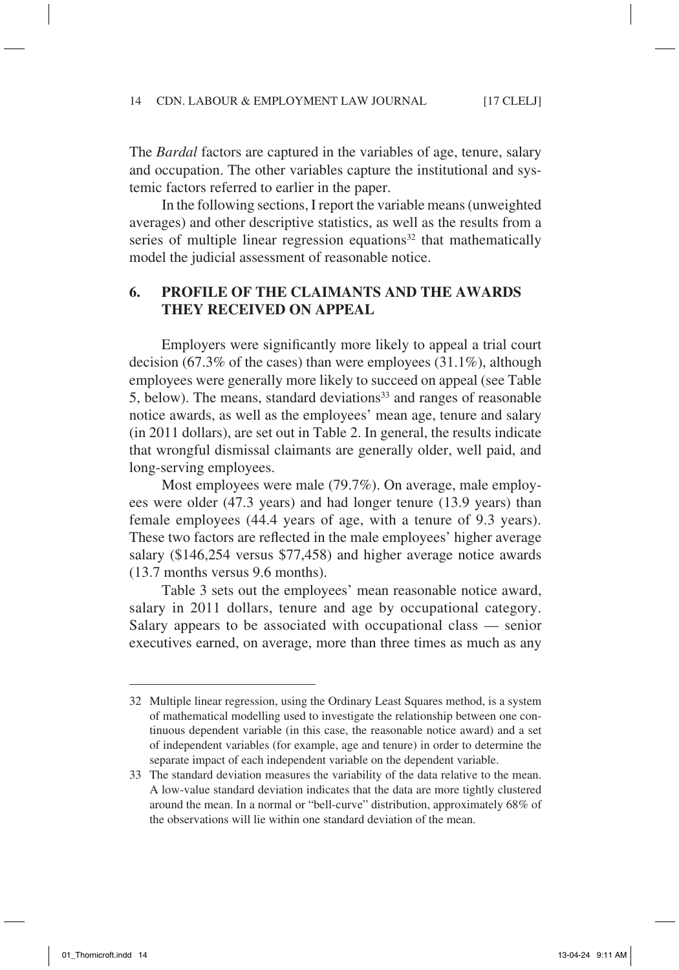The *Bardal* factors are captured in the variables of age, tenure, salary and occupation. The other variables capture the institutional and systemic factors referred to earlier in the paper.

In the following sections, I report the variable means (unweighted averages) and other descriptive statistics, as well as the results from a series of multiple linear regression equations $32$  that mathematically model the judicial assessment of reasonable notice.

## **6. Profile of the Claimants and the Awards They Received on Appeal**

Employers were significantly more likely to appeal a trial court decision (67.3% of the cases) than were employees (31.1%), although employees were generally more likely to succeed on appeal (see Table 5, below). The means, standard deviations<sup>33</sup> and ranges of reasonable notice awards, as well as the employees' mean age, tenure and salary (in 2011 dollars), are set out in Table 2. In general, the results indicate that wrongful dismissal claimants are generally older, well paid, and long-serving employees.

Most employees were male (79.7%). On average, male employees were older (47.3 years) and had longer tenure (13.9 years) than female employees (44.4 years of age, with a tenure of 9.3 years). These two factors are reflected in the male employees' higher average salary (\$146,254 versus \$77,458) and higher average notice awards (13.7 months versus 9.6 months).

Table 3 sets out the employees' mean reasonable notice award, salary in 2011 dollars, tenure and age by occupational category. Salary appears to be associated with occupational class — senior executives earned, on average, more than three times as much as any

<sup>32</sup> Multiple linear regression, using the Ordinary Least Squares method, is a system of mathematical modelling used to investigate the relationship between one continuous dependent variable (in this case, the reasonable notice award) and a set of independent variables (for example, age and tenure) in order to determine the separate impact of each independent variable on the dependent variable.

<sup>33</sup> The standard deviation measures the variability of the data relative to the mean. A low-value standard deviation indicates that the data are more tightly clustered around the mean. In a normal or "bell-curve" distribution, approximately 68% of the observations will lie within one standard deviation of the mean.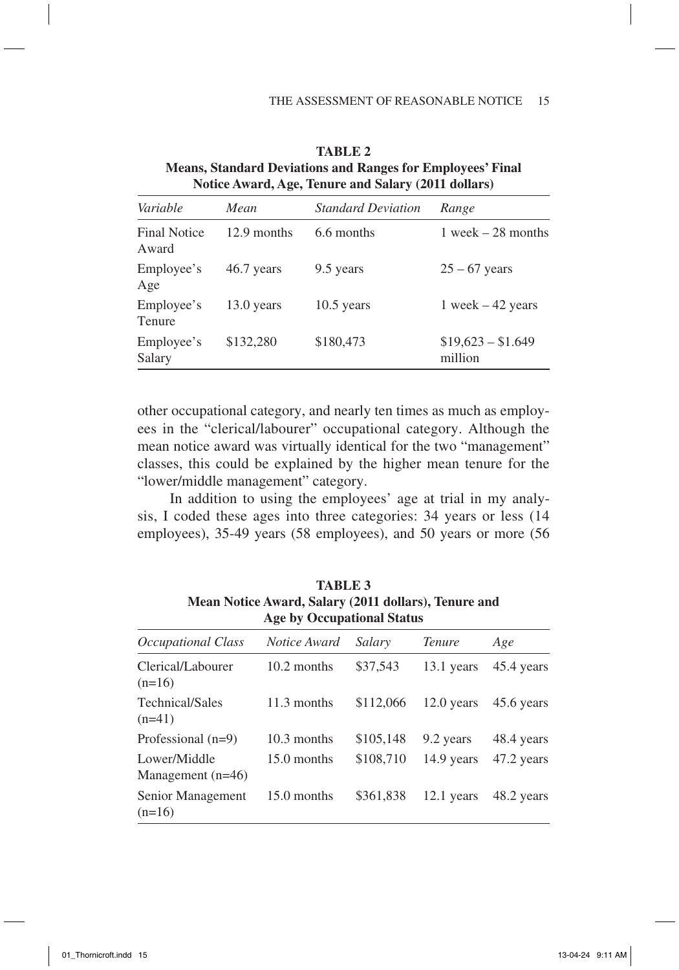|                              |             | Touce Awards Age, Tenure and Balary (2011 domais) |                               |
|------------------------------|-------------|---------------------------------------------------|-------------------------------|
| Variable                     | Mean        | <b>Standard Deviation</b>                         | Range                         |
| <b>Final Notice</b><br>Award | 12.9 months | 6.6 months                                        | $1$ week $-28$ months         |
| Employee's<br>Age            | 46.7 years  | 9.5 years                                         | $25 - 67$ years               |
| Employee's<br>Tenure         | 13.0 years  | $10.5$ years                                      | 1 week $-42$ years            |
| Employee's<br>Salary         | \$132,280   | \$180,473                                         | $$19,623 - $1.649$<br>million |
|                              |             |                                                   |                               |

**Table 2 Means, Standard Deviations and Ranges for Employees' Final Notice Award, Age, Tenure and Salary (2011 dollars)**

other occupational category, and nearly ten times as much as employees in the "clerical/labourer" occupational category. Although the mean notice award was virtually identical for the two "management" classes, this could be explained by the higher mean tenure for the "lower/middle management" category.

In addition to using the employees' age at trial in my analysis, I coded these ages into three categories: 34 years or less (14 employees), 35-49 years (58 employees), and 50 years or more (56

| $\cdots$<br><b>Age by Occupational Status</b> |              |           |               |            |  |
|-----------------------------------------------|--------------|-----------|---------------|------------|--|
| Occupational Class                            | Notice Award | Salary    | <b>Tenure</b> | Age        |  |
| Clerical/Labourer<br>$(n=16)$                 | 10.2 months  | \$37,543  | 13.1 years    | 45.4 years |  |
| Technical/Sales<br>$(n=41)$                   | 11.3 months  | \$112,066 | $12.0$ years  | 45.6 years |  |
| Professional $(n=9)$                          | 10.3 months  | \$105,148 | 9.2 years     | 48.4 years |  |
| Lower/Middle<br>Management $(n=46)$           | 15.0 months  | \$108,710 | 14.9 years    | 47.2 years |  |
| Senior Management<br>$(n=16)$                 | 15.0 months  | \$361,838 | $12.1$ years  | 48.2 years |  |

**Table 3 Mean Notice Award, Salary (2011 dollars), Tenure and**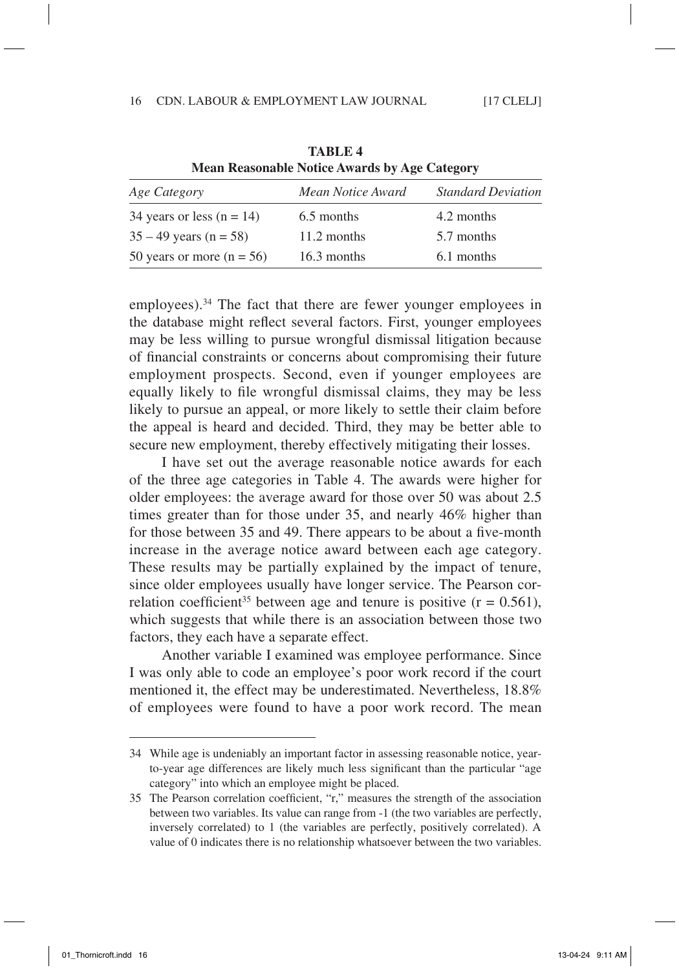|                             | <b>IVICALI INCASOILADIC POLICE AWAI US DY Age CAtegory</b> |                           |
|-----------------------------|------------------------------------------------------------|---------------------------|
| Age Category                | Mean Notice Award                                          | <b>Standard Deviation</b> |
| 34 years or less $(n = 14)$ | 6.5 months                                                 | 4.2 months                |
| $35 - 49$ years (n = 58)    | 11.2 months                                                | 5.7 months                |
| 50 years or more $(n = 56)$ | 16.3 months                                                | 6.1 months                |

**Table 4 Mean Reasonable Notice Awards by Age Category**

employees).<sup>34</sup> The fact that there are fewer younger employees in the database might reflect several factors. First, younger employees may be less willing to pursue wrongful dismissal litigation because of financial constraints or concerns about compromising their future employment prospects. Second, even if younger employees are equally likely to file wrongful dismissal claims, they may be less likely to pursue an appeal, or more likely to settle their claim before the appeal is heard and decided. Third, they may be better able to secure new employment, thereby effectively mitigating their losses.

I have set out the average reasonable notice awards for each of the three age categories in Table 4. The awards were higher for older employees: the average award for those over 50 was about 2.5 times greater than for those under 35, and nearly 46% higher than for those between 35 and 49. There appears to be about a five-month increase in the average notice award between each age category. These results may be partially explained by the impact of tenure, since older employees usually have longer service. The Pearson correlation coefficient<sup>35</sup> between age and tenure is positive  $(r = 0.561)$ , which suggests that while there is an association between those two factors, they each have a separate effect.

Another variable I examined was employee performance. Since I was only able to code an employee's poor work record if the court mentioned it, the effect may be underestimated. Nevertheless, 18.8% of employees were found to have a poor work record. The mean

<sup>34</sup> While age is undeniably an important factor in assessing reasonable notice, yearto-year age differences are likely much less significant than the particular "age category" into which an employee might be placed.

<sup>35</sup> The Pearson correlation coefficient, "r," measures the strength of the association between two variables. Its value can range from -1 (the two variables are perfectly, inversely correlated) to 1 (the variables are perfectly, positively correlated). A value of 0 indicates there is no relationship whatsoever between the two variables.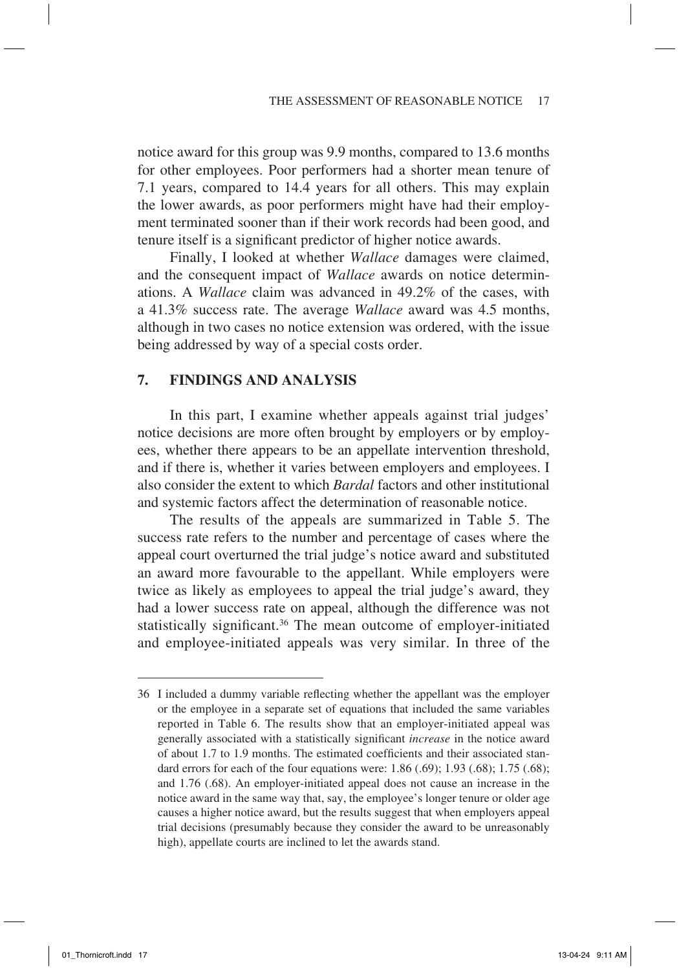notice award for this group was 9.9 months, compared to 13.6 months for other employees. Poor performers had a shorter mean tenure of 7.1 years, compared to 14.4 years for all others. This may explain the lower awards, as poor performers might have had their employment terminated sooner than if their work records had been good, and tenure itself is a significant predictor of higher notice awards.

Finally, I looked at whether *Wallace* damages were claimed, and the consequent impact of *Wallace* awards on notice determinations. A *Wallace* claim was advanced in 49.2% of the cases, with a 41.3% success rate. The average *Wallace* award was 4.5 months, although in two cases no notice extension was ordered, with the issue being addressed by way of a special costs order.

# **7. Findings and Analysis**

In this part, I examine whether appeals against trial judges' notice decisions are more often brought by employers or by employees, whether there appears to be an appellate intervention threshold, and if there is, whether it varies between employers and employees. I also consider the extent to which *Bardal* factors and other institutional and systemic factors affect the determination of reasonable notice.

The results of the appeals are summarized in Table 5. The success rate refers to the number and percentage of cases where the appeal court overturned the trial judge's notice award and substituted an award more favourable to the appellant. While employers were twice as likely as employees to appeal the trial judge's award, they had a lower success rate on appeal, although the difference was not statistically significant.36 The mean outcome of employer-initiated and employee-initiated appeals was very similar. In three of the

<sup>36</sup> I included a dummy variable reflecting whether the appellant was the employer or the employee in a separate set of equations that included the same variables reported in Table 6. The results show that an employer-initiated appeal was generally associated with a statistically significant *increase* in the notice award of about 1.7 to 1.9 months. The estimated coefficients and their associated standard errors for each of the four equations were:  $1.86$  (.69);  $1.93$  (.68);  $1.75$  (.68); and 1.76 (.68). An employer-initiated appeal does not cause an increase in the notice award in the same way that, say, the employee's longer tenure or older age causes a higher notice award, but the results suggest that when employers appeal trial decisions (presumably because they consider the award to be unreasonably high), appellate courts are inclined to let the awards stand.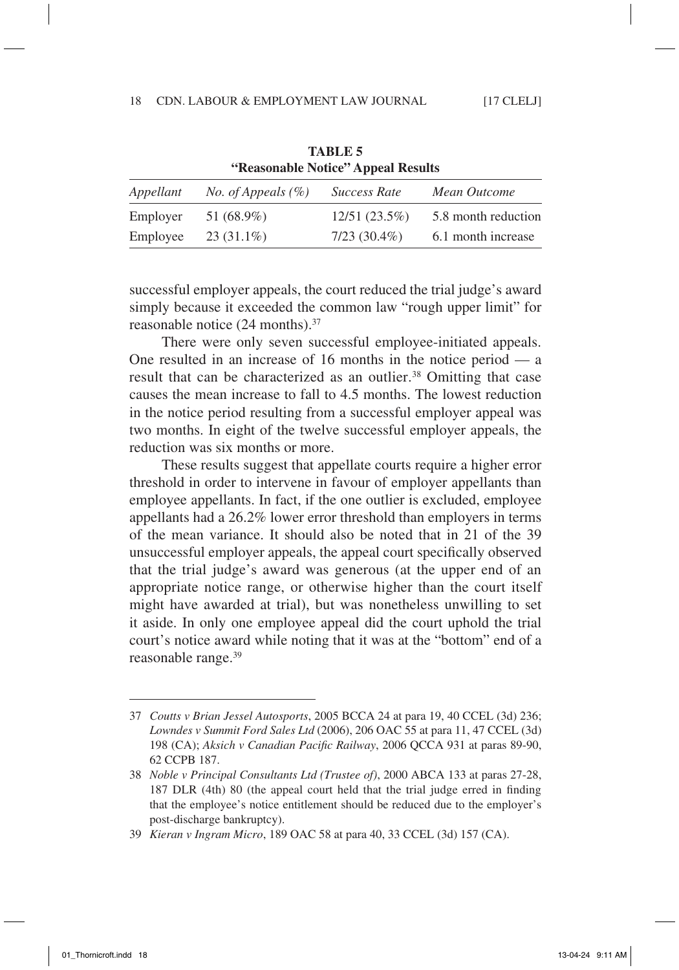|           |                              | "Reasonable Notice" Appeal Results |                     |
|-----------|------------------------------|------------------------------------|---------------------|
| Appellant | <i>No.</i> of Appeals $(\%)$ | <b>Success Rate</b>                | Mean Outcome        |
| Employer  | 51 (68.9%)                   | $12/51(23.5\%)$                    | 5.8 month reduction |
| Employee  | $23(31.1\%)$                 | $7/23(30.4\%)$                     | 6.1 month increase  |

**Table 5 "Reasonable Notice" Appeal Results**

successful employer appeals, the court reduced the trial judge's award simply because it exceeded the common law "rough upper limit" for reasonable notice (24 months).37

There were only seven successful employee-initiated appeals. One resulted in an increase of 16 months in the notice period  $-$  a result that can be characterized as an outlier.<sup>38</sup> Omitting that case causes the mean increase to fall to 4.5 months. The lowest reduction in the notice period resulting from a successful employer appeal was two months. In eight of the twelve successful employer appeals, the reduction was six months or more.

These results suggest that appellate courts require a higher error threshold in order to intervene in favour of employer appellants than employee appellants. In fact, if the one outlier is excluded, employee appellants had a 26.2% lower error threshold than employers in terms of the mean variance. It should also be noted that in 21 of the 39 unsuccessful employer appeals, the appeal court specifically observed that the trial judge's award was generous (at the upper end of an appropriate notice range, or otherwise higher than the court itself might have awarded at trial), but was nonetheless unwilling to set it aside. In only one employee appeal did the court uphold the trial court's notice award while noting that it was at the "bottom" end of a reasonable range.<sup>39</sup>

<sup>37</sup> *Coutts v Brian Jessel Autosports*, 2005 BCCA 24 at para 19, 40 CCEL (3d) 236; *Lowndes v Summit Ford Sales Ltd* (2006), 206 OAC 55 at para 11, 47 CCEL (3d) 198 (CA); *Aksich v Canadian Pacific Railway*, 2006 QCCA 931 at paras 89-90, 62 CCPB 187.

<sup>38</sup> *Noble v Principal Consultants Ltd (Trustee of)*, 2000 ABCA 133 at paras 27-28, 187 DLR (4th) 80 (the appeal court held that the trial judge erred in finding that the employee's notice entitlement should be reduced due to the employer's post-discharge bankruptcy).

<sup>39</sup> *Kieran v Ingram Micro*, 189 OAC 58 at para 40, 33 CCEL (3d) 157 (CA).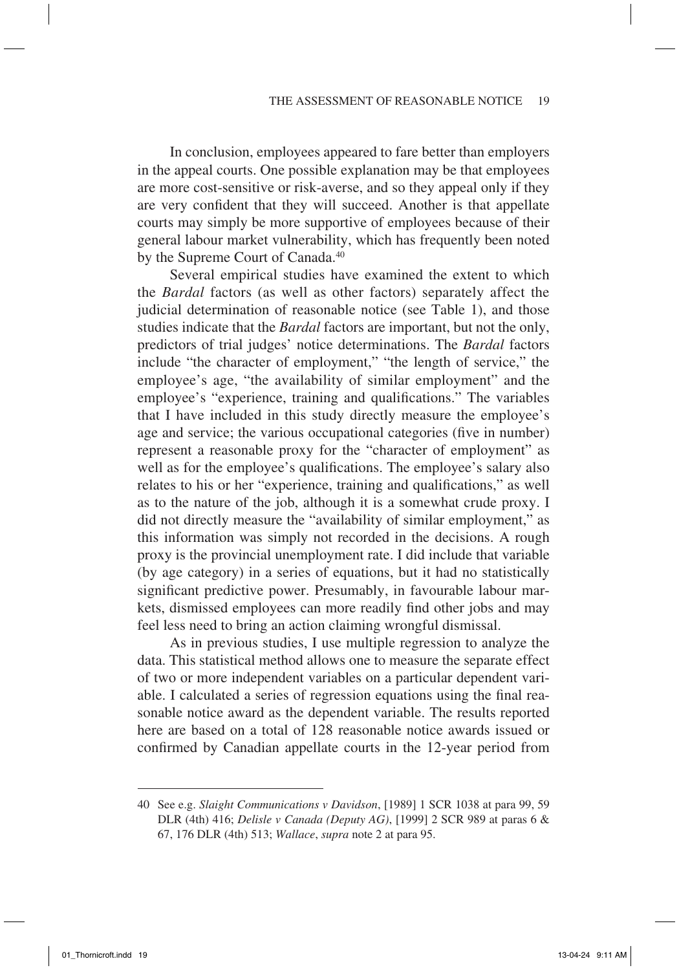In conclusion, employees appeared to fare better than employers in the appeal courts. One possible explanation may be that employees are more cost-sensitive or risk-averse, and so they appeal only if they are very confident that they will succeed. Another is that appellate courts may simply be more supportive of employees because of their general labour market vulnerability, which has frequently been noted by the Supreme Court of Canada.<sup>40</sup>

Several empirical studies have examined the extent to which the *Bardal* factors (as well as other factors) separately affect the judicial determination of reasonable notice (see Table 1), and those studies indicate that the *Bardal* factors are important, but not the only, predictors of trial judges' notice determinations. The *Bardal* factors include "the character of employment," "the length of service," the employee's age, "the availability of similar employment" and the employee's "experience, training and qualifications." The variables that I have included in this study directly measure the employee's age and service; the various occupational categories (five in number) represent a reasonable proxy for the "character of employment" as well as for the employee's qualifications. The employee's salary also relates to his or her "experience, training and qualifications," as well as to the nature of the job, although it is a somewhat crude proxy. I did not directly measure the "availability of similar employment," as this information was simply not recorded in the decisions. A rough proxy is the provincial unemployment rate. I did include that variable (by age category) in a series of equations, but it had no statistically significant predictive power. Presumably, in favourable labour markets, dismissed employees can more readily find other jobs and may feel less need to bring an action claiming wrongful dismissal.

As in previous studies, I use multiple regression to analyze the data. This statistical method allows one to measure the separate effect of two or more independent variables on a particular dependent variable. I calculated a series of regression equations using the final reasonable notice award as the dependent variable. The results reported here are based on a total of 128 reasonable notice awards issued or confirmed by Canadian appellate courts in the 12-year period from

<sup>40</sup> See e.g. *Slaight Communications v Davidson*, [1989] 1 SCR 1038 at para 99, 59 DLR (4th) 416; *Delisle v Canada (Deputy AG)*, [1999] 2 SCR 989 at paras 6 & 67, 176 DLR (4th) 513; *Wallace*, *supra* note 2 at para 95.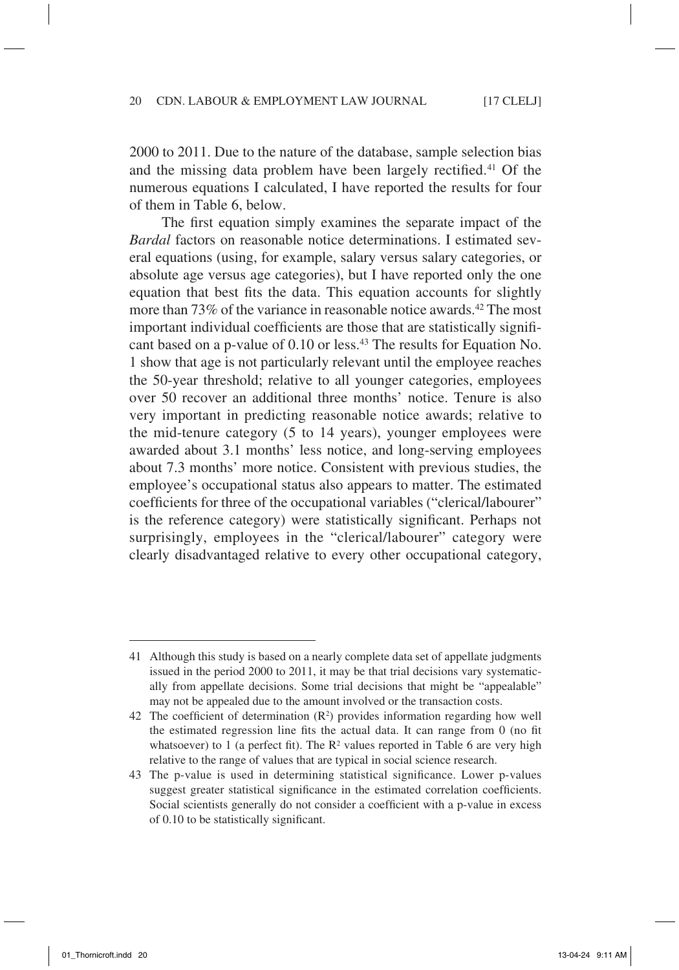2000 to 2011. Due to the nature of the database, sample selection bias and the missing data problem have been largely rectified.41 Of the numerous equations I calculated, I have reported the results for four of them in Table 6, below.

The first equation simply examines the separate impact of the *Bardal* factors on reasonable notice determinations. I estimated several equations (using, for example, salary versus salary categories, or absolute age versus age categories), but I have reported only the one equation that best fits the data. This equation accounts for slightly more than 73% of the variance in reasonable notice awards.42 The most important individual coefficients are those that are statistically significant based on a p-value of 0.10 or less.43 The results for Equation No. 1 show that age is not particularly relevant until the employee reaches the 50-year threshold; relative to all younger categories, employees over 50 recover an additional three months' notice. Tenure is also very important in predicting reasonable notice awards; relative to the mid-tenure category (5 to 14 years), younger employees were awarded about 3.1 months' less notice, and long-serving employees about 7.3 months' more notice. Consistent with previous studies, the employee's occupational status also appears to matter. The estimated coefficients for three of the occupational variables ("clerical/labourer" is the reference category) were statistically significant. Perhaps not surprisingly, employees in the "clerical/labourer" category were clearly disadvantaged relative to every other occupational category,

<sup>41</sup> Although this study is based on a nearly complete data set of appellate judgments issued in the period 2000 to 2011, it may be that trial decisions vary systematically from appellate decisions. Some trial decisions that might be "appealable" may not be appealed due to the amount involved or the transaction costs.

<sup>42</sup> The coefficient of determination  $(R^2)$  provides information regarding how well the estimated regression line fits the actual data. It can range from 0 (no fit whatsoever) to 1 (a perfect fit). The  $R^2$  values reported in Table 6 are very high relative to the range of values that are typical in social science research.

<sup>43</sup> The p-value is used in determining statistical significance. Lower p-values suggest greater statistical significance in the estimated correlation coefficients. Social scientists generally do not consider a coefficient with a p-value in excess of 0.10 to be statistically significant.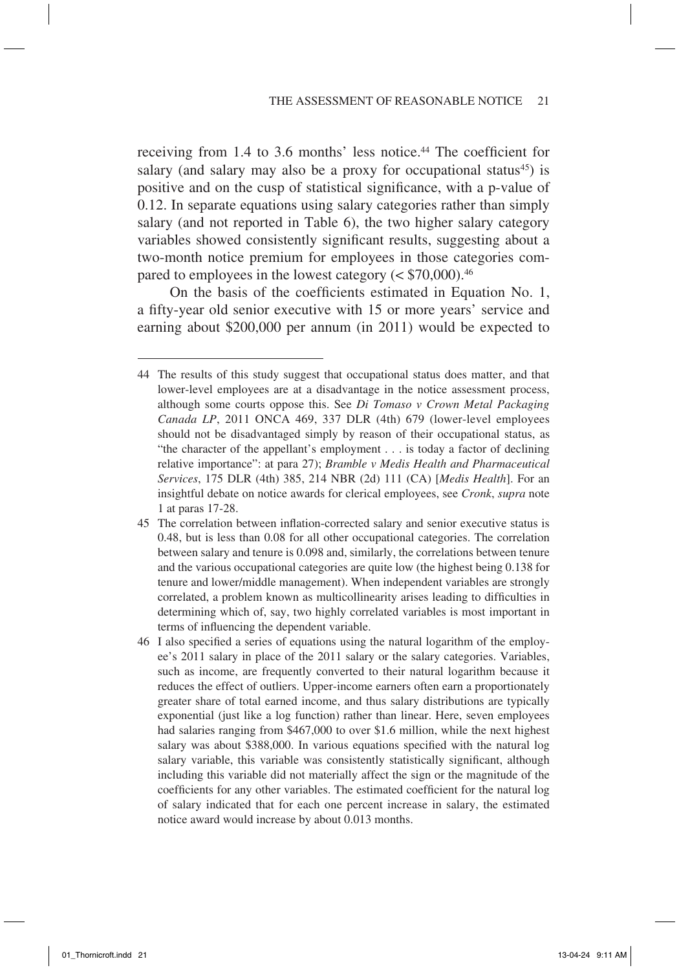receiving from 1.4 to 3.6 months' less notice.<sup>44</sup> The coefficient for salary (and salary may also be a proxy for occupational status<sup>45</sup>) is positive and on the cusp of statistical significance, with a p-value of 0.12. In separate equations using salary categories rather than simply salary (and not reported in Table 6), the two higher salary category variables showed consistently significant results, suggesting about a two-month notice premium for employees in those categories compared to employees in the lowest category  $(<$  \$70,000).<sup>46</sup>

On the basis of the coefficients estimated in Equation No. 1, a fifty-year old senior executive with 15 or more years' service and earning about \$200,000 per annum (in 2011) would be expected to

<sup>44</sup> The results of this study suggest that occupational status does matter, and that lower-level employees are at a disadvantage in the notice assessment process, although some courts oppose this. See *Di Tomaso v Crown Metal Packaging Canada LP*, 2011 ONCA 469, 337 DLR (4th) 679 (lower-level employees should not be disadvantaged simply by reason of their occupational status, as "the character of the appellant's employment . . . is today a factor of declining relative importance": at para 27); *Bramble v Medis Health and Pharmaceutical Services*, 175 DLR (4th) 385, 214 NBR (2d) 111 (CA) [*Medis Health*]. For an insightful debate on notice awards for clerical employees, see *Cronk*, *supra* note 1 at paras 17-28.

<sup>45</sup> The correlation between inflation-corrected salary and senior executive status is 0.48, but is less than 0.08 for all other occupational categories. The correlation between salary and tenure is 0.098 and, similarly, the correlations between tenure and the various occupational categories are quite low (the highest being 0.138 for tenure and lower/middle management). When independent variables are strongly correlated, a problem known as multicollinearity arises leading to difficulties in determining which of, say, two highly correlated variables is most important in terms of influencing the dependent variable.

<sup>46</sup> I also specified a series of equations using the natural logarithm of the employee's 2011 salary in place of the 2011 salary or the salary categories. Variables, such as income, are frequently converted to their natural logarithm because it reduces the effect of outliers. Upper-income earners often earn a proportionately greater share of total earned income, and thus salary distributions are typically exponential (just like a log function) rather than linear. Here, seven employees had salaries ranging from \$467,000 to over \$1.6 million, while the next highest salary was about \$388,000. In various equations specified with the natural log salary variable, this variable was consistently statistically significant, although including this variable did not materially affect the sign or the magnitude of the coefficients for any other variables. The estimated coefficient for the natural log of salary indicated that for each one percent increase in salary, the estimated notice award would increase by about 0.013 months.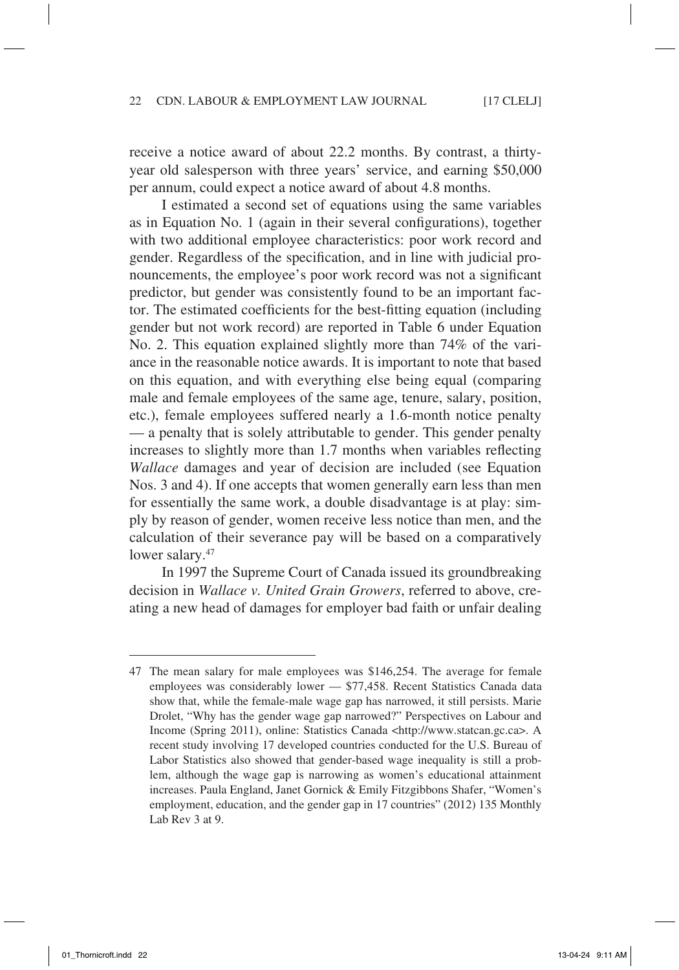receive a notice award of about 22.2 months. By contrast, a thirtyyear old salesperson with three years' service, and earning \$50,000 per annum, could expect a notice award of about 4.8 months.

I estimated a second set of equations using the same variables as in Equation No. 1 (again in their several configurations), together with two additional employee characteristics: poor work record and gender. Regardless of the specification, and in line with judicial pronouncements, the employee's poor work record was not a significant predictor, but gender was consistently found to be an important factor. The estimated coefficients for the best-fitting equation (including gender but not work record) are reported in Table 6 under Equation No. 2. This equation explained slightly more than 74% of the variance in the reasonable notice awards. It is important to note that based on this equation, and with everything else being equal (comparing male and female employees of the same age, tenure, salary, position, etc.), female employees suffered nearly a 1.6-month notice penalty — a penalty that is solely attributable to gender. This gender penalty increases to slightly more than 1.7 months when variables reflecting *Wallace* damages and year of decision are included (see Equation Nos. 3 and 4). If one accepts that women generally earn less than men for essentially the same work, a double disadvantage is at play: simply by reason of gender, women receive less notice than men, and the calculation of their severance pay will be based on a comparatively lower salary.<sup>47</sup>

In 1997 the Supreme Court of Canada issued its groundbreaking decision in *Wallace v. United Grain Growers*, referred to above, creating a new head of damages for employer bad faith or unfair dealing

<sup>47</sup> The mean salary for male employees was \$146,254. The average for female employees was considerably lower — \$77,458. Recent Statistics Canada data show that, while the female-male wage gap has narrowed, it still persists. Marie Drolet, "Why has the gender wage gap narrowed?" Perspectives on Labour and Income (Spring 2011), online: Statistics Canada <http://www.statcan.gc.ca>. A recent study involving 17 developed countries conducted for the U.S. Bureau of Labor Statistics also showed that gender-based wage inequality is still a problem, although the wage gap is narrowing as women's educational attainment increases. Paula England, Janet Gornick & Emily Fitzgibbons Shafer, "Women's employment, education, and the gender gap in 17 countries" (2012) 135 Monthly Lab Rev 3 at 9.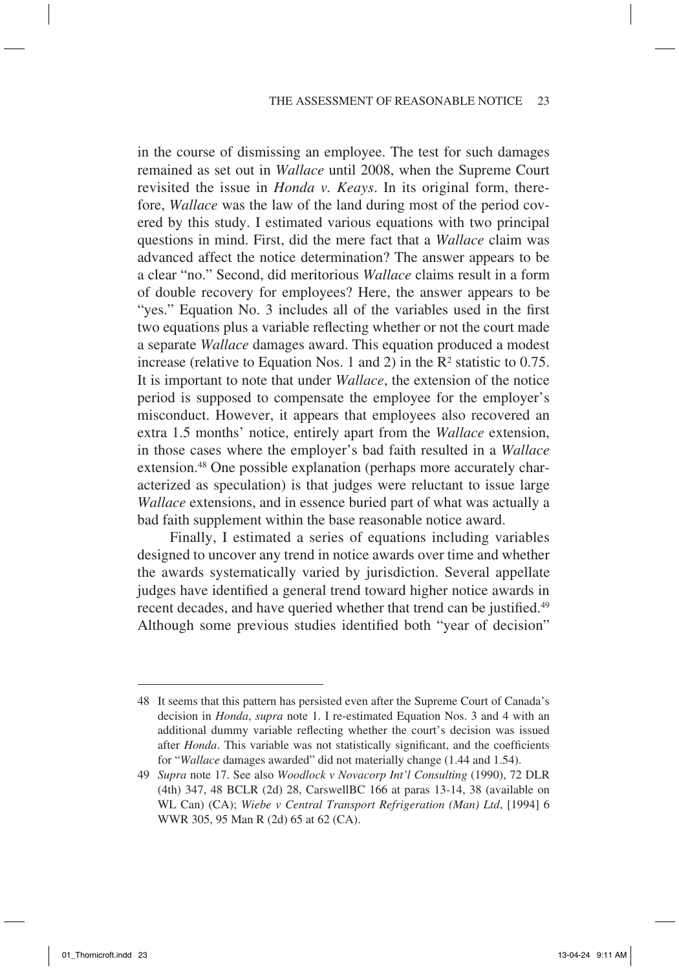in the course of dismissing an employee. The test for such damages remained as set out in *Wallace* until 2008, when the Supreme Court revisited the issue in *Honda v. Keays*. In its original form, therefore, *Wallace* was the law of the land during most of the period covered by this study. I estimated various equations with two principal questions in mind. First, did the mere fact that a *Wallace* claim was advanced affect the notice determination? The answer appears to be a clear "no." Second, did meritorious *Wallace* claims result in a form of double recovery for employees? Here, the answer appears to be "yes." Equation No. 3 includes all of the variables used in the first two equations plus a variable reflecting whether or not the court made a separate *Wallace* damages award. This equation produced a modest increase (relative to Equation Nos. 1 and 2) in the  $\mathbb{R}^2$  statistic to 0.75. It is important to note that under *Wallace*, the extension of the notice period is supposed to compensate the employee for the employer's misconduct. However, it appears that employees also recovered an extra 1.5 months' notice, entirely apart from the *Wallace* extension, in those cases where the employer's bad faith resulted in a *Wallace* extension.<sup>48</sup> One possible explanation (perhaps more accurately characterized as speculation) is that judges were reluctant to issue large *Wallace* extensions, and in essence buried part of what was actually a bad faith supplement within the base reasonable notice award.

Finally, I estimated a series of equations including variables designed to uncover any trend in notice awards over time and whether the awards systematically varied by jurisdiction. Several appellate judges have identified a general trend toward higher notice awards in recent decades, and have queried whether that trend can be justified.<sup>49</sup> Although some previous studies identified both "year of decision"

<sup>48</sup> It seems that this pattern has persisted even after the Supreme Court of Canada's decision in *Honda*, *supra* note 1. I re-estimated Equation Nos. 3 and 4 with an additional dummy variable reflecting whether the court's decision was issued after *Honda*. This variable was not statistically significant, and the coefficients for "*Wallace* damages awarded" did not materially change (1.44 and 1.54).

<sup>49</sup> *Supra* note 17. See also *Woodlock v Novacorp Int'l Consulting* (1990), 72 DLR (4th) 347, 48 BCLR (2d) 28, CarswellBC 166 at paras 13-14, 38 (available on WL Can) (CA); *Wiebe v Central Transport Refrigeration (Man) Ltd*, [1994] 6 WWR 305, 95 Man R (2d) 65 at 62 (CA).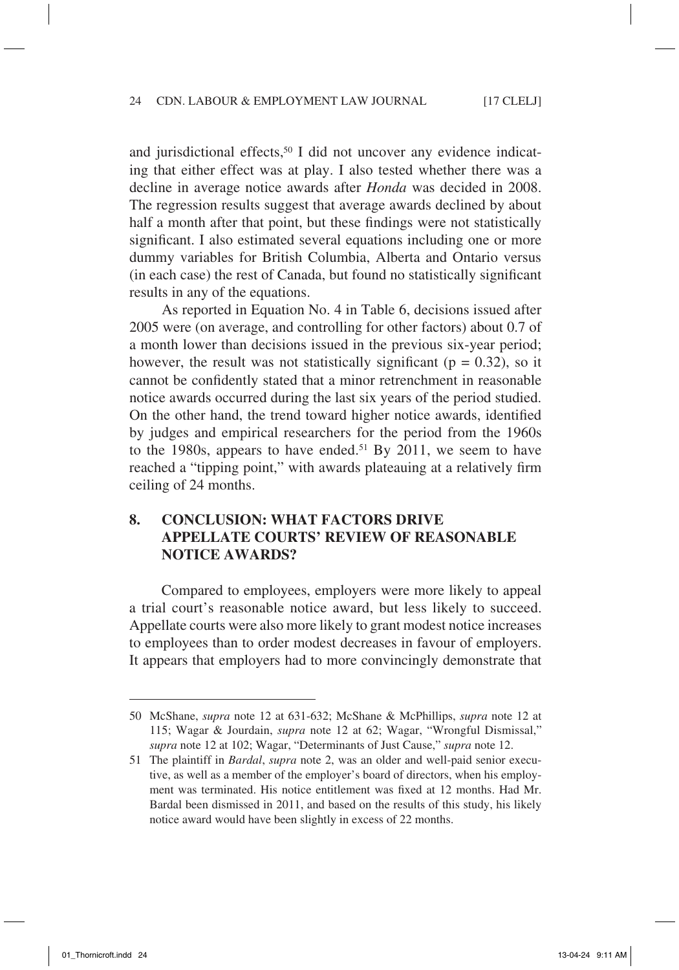and jurisdictional effects,<sup>50</sup> I did not uncover any evidence indicating that either effect was at play. I also tested whether there was a decline in average notice awards after *Honda* was decided in 2008. The regression results suggest that average awards declined by about half a month after that point, but these findings were not statistically significant. I also estimated several equations including one or more dummy variables for British Columbia, Alberta and Ontario versus (in each case) the rest of Canada, but found no statistically significant results in any of the equations.

As reported in Equation No. 4 in Table 6, decisions issued after 2005 were (on average, and controlling for other factors) about 0.7 of a month lower than decisions issued in the previous six-year period; however, the result was not statistically significant ( $p = 0.32$ ), so it cannot be confidently stated that a minor retrenchment in reasonable notice awards occurred during the last six years of the period studied. On the other hand, the trend toward higher notice awards, identified by judges and empirical researchers for the period from the 1960s to the 1980s, appears to have ended.<sup>51</sup> By 2011, we seem to have reached a "tipping point," with awards plateauing at a relatively firm ceiling of 24 months.

## **8. Conclusion: What Factors Drive Appellate Courts' Review of Reasonable Notice Awards?**

Compared to employees, employers were more likely to appeal a trial court's reasonable notice award, but less likely to succeed. Appellate courts were also more likely to grant modest notice increases to employees than to order modest decreases in favour of employers. It appears that employers had to more convincingly demonstrate that

<sup>50</sup> McShane, *supra* note 12 at 631-632; McShane & McPhillips, *supra* note 12 at 115; Wagar & Jourdain, *supra* note 12 at 62; Wagar, "Wrongful Dismissal," *supra* note 12 at 102; Wagar, "Determinants of Just Cause," *supra* note 12.

<sup>51</sup> The plaintiff in *Bardal*, *supra* note 2, was an older and well-paid senior executive, as well as a member of the employer's board of directors, when his employment was terminated. His notice entitlement was fixed at 12 months. Had Mr. Bardal been dismissed in 2011, and based on the results of this study, his likely notice award would have been slightly in excess of 22 months.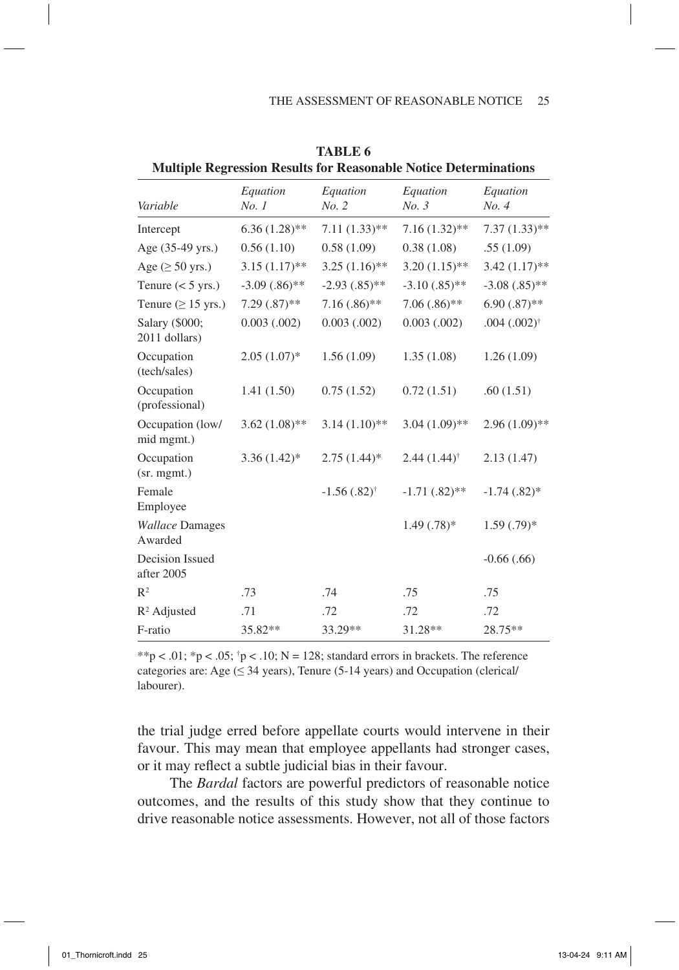| Variable                          | Equation<br>No.1 | Equation<br>No. 2      | Equation<br>No. 3      | Equation<br>No. 4      |
|-----------------------------------|------------------|------------------------|------------------------|------------------------|
| Intercept                         | $6.36(1.28)$ **  | $7.11(1.33)$ **        | $7.16(1.32)$ **        | $7.37(1.33)$ **        |
| Age (35-49 yrs.)                  | 0.56(1.10)       | 0.58(1.09)             | 0.38(1.08)             | .55(1.09)              |
| Age $(\geq 50$ yrs.)              | $3.15(1.17)$ **  | $3.25(1.16)$ **        | $3.20(1.15)$ **        | $3.42(1.17)$ **        |
| Tenure $(< 5$ yrs.)               | $-3.09(.86)$ **  | $-2.93(.85)$ **        | $-3.10(.85)$ **        | $-3.08(.85)$ **        |
| Tenure ( $\geq$ 15 yrs.)          | $7.29(.87)$ **   | $7.16(.86)$ **         | $7.06(.86)$ **         | $6.90(.87)$ **         |
| Salary (\$000;<br>2011 dollars)   | $0.003$ $(.002)$ | $0.003$ $(.002)$       | $0.003$ $(.002)$       | $.004(.002)^{\dagger}$ |
| Occupation<br>(tech/sales)        | $2.05(1.07)^{*}$ | 1.56(1.09)             | 1.35(1.08)             | 1.26(1.09)             |
| Occupation<br>(professional)      | 1.41(1.50)       | 0.75(1.52)             | 0.72(1.51)             | .60(1.51)              |
| Occupation (low/<br>mid mgmt.)    | $3.62(1.08)$ **  | $3.14(1.10)$ **        | $3.04(1.09)$ **        | $2.96(1.09)$ **        |
| Occupation<br>(sr. mgmt.)         | $3.36(1.42)$ *   | $2.75(1.44)$ *         | $2.44(1.44)^{\dagger}$ | 2.13(1.47)             |
| Female<br>Employee                |                  | $-1.56(.82)^{\dagger}$ | $-1.71(.82)$ **        | $-1.74$ $(.82)*$       |
| <b>Wallace Damages</b><br>Awarded |                  |                        | $1.49(.78)$ *          | $1.59(.79)$ *          |
| Decision Issued<br>after 2005     |                  |                        |                        | $-0.66$ $(.66)$        |
| $R^2$                             | .73              | .74                    | .75                    | .75                    |
| $R^2$ Adjusted                    | .71              | .72                    | .72                    | .72                    |
| F-ratio                           | 35.82**          | 33.29**                | 31.28**                | 28.75**                |

**Table 6 Multiple Regression Results for Reasonable Notice Determinations**

\*\*p < .01; \*p < .05;  $\uparrow$  p < .10; N = 128; standard errors in brackets. The reference categories are: Age ( $\leq$  34 years), Tenure (5-14 years) and Occupation (clerical/ labourer).

the trial judge erred before appellate courts would intervene in their favour. This may mean that employee appellants had stronger cases, or it may reflect a subtle judicial bias in their favour.

The *Bardal* factors are powerful predictors of reasonable notice outcomes, and the results of this study show that they continue to drive reasonable notice assessments. However, not all of those factors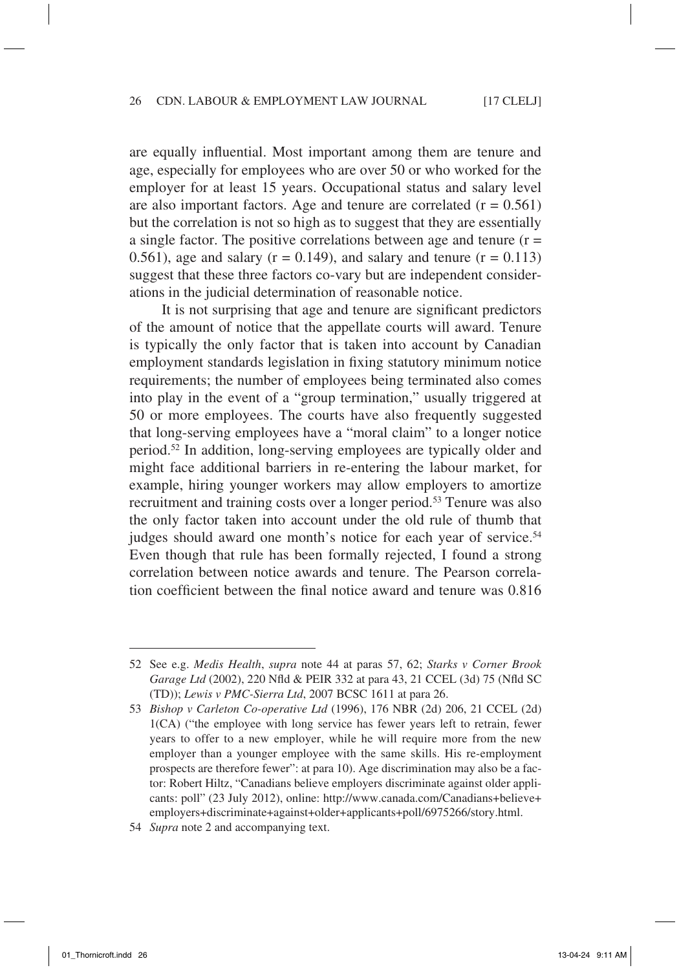are equally influential. Most important among them are tenure and age, especially for employees who are over 50 or who worked for the employer for at least 15 years. Occupational status and salary level are also important factors. Age and tenure are correlated  $(r = 0.561)$ but the correlation is not so high as to suggest that they are essentially a single factor. The positive correlations between age and tenure  $(r =$ 0.561), age and salary ( $r = 0.149$ ), and salary and tenure ( $r = 0.113$ ) suggest that these three factors co-vary but are independent considerations in the judicial determination of reasonable notice.

It is not surprising that age and tenure are significant predictors of the amount of notice that the appellate courts will award. Tenure is typically the only factor that is taken into account by Canadian employment standards legislation in fixing statutory minimum notice requirements; the number of employees being terminated also comes into play in the event of a "group termination," usually triggered at 50 or more employees. The courts have also frequently suggested that long-serving employees have a "moral claim" to a longer notice period.52 In addition, long-serving employees are typically older and might face additional barriers in re-entering the labour market, for example, hiring younger workers may allow employers to amortize recruitment and training costs over a longer period.<sup>53</sup> Tenure was also the only factor taken into account under the old rule of thumb that judges should award one month's notice for each year of service.<sup>54</sup> Even though that rule has been formally rejected, I found a strong correlation between notice awards and tenure. The Pearson correlation coefficient between the final notice award and tenure was 0.816

<sup>52</sup> See e.g. *Medis Health*, *supra* note 44 at paras 57, 62; *Starks v Corner Brook Garage Ltd* (2002), 220 Nfld & PEIR 332 at para 43, 21 CCEL (3d) 75 (Nfld SC (TD)); *Lewis v PMC-Sierra Ltd*, 2007 BCSC 1611 at para 26.

<sup>53</sup> *Bishop v Carleton Co-operative Ltd* (1996), 176 NBR (2d) 206, 21 CCEL (2d) 1(CA) ("the employee with long service has fewer years left to retrain, fewer years to offer to a new employer, while he will require more from the new employer than a younger employee with the same skills. His re-employment prospects are therefore fewer": at para 10). Age discrimination may also be a factor: Robert Hiltz, "Canadians believe employers discriminate against older applicants: poll" (23 July 2012), online: http://www.canada.com/Canadians+believe+ employers+discriminate+against+older+applicants+poll/6975266/story.html.

<sup>54</sup> *Supra* note 2 and accompanying text.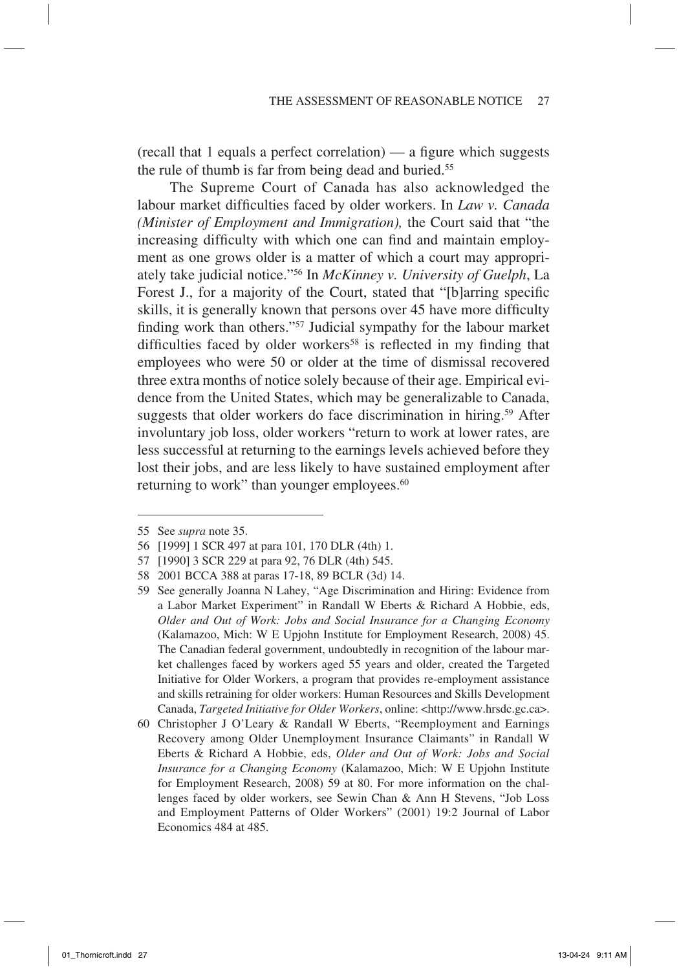(recall that 1 equals a perfect correlation) — a figure which suggests the rule of thumb is far from being dead and buried.55

The Supreme Court of Canada has also acknowledged the labour market difficulties faced by older workers. In *Law v. Canada (Minister of Employment and Immigration),* the Court said that "the increasing difficulty with which one can find and maintain employment as one grows older is a matter of which a court may appropriately take judicial notice."56 In *McKinney v. University of Guelph*, La Forest J., for a majority of the Court, stated that "[b]arring specific skills, it is generally known that persons over 45 have more difficulty finding work than others."57 Judicial sympathy for the labour market difficulties faced by older workers<sup>58</sup> is reflected in my finding that employees who were 50 or older at the time of dismissal recovered three extra months of notice solely because of their age. Empirical evidence from the United States, which may be generalizable to Canada, suggests that older workers do face discrimination in hiring.<sup>59</sup> After involuntary job loss, older workers "return to work at lower rates, are less successful at returning to the earnings levels achieved before they lost their jobs, and are less likely to have sustained employment after returning to work" than younger employees.<sup>60</sup>

<sup>55</sup> See *supra* note 35.

<sup>56</sup> [1999] 1 SCR 497 at para 101, 170 DLR (4th) 1.

<sup>57</sup> [1990] 3 SCR 229 at para 92, 76 DLR (4th) 545.

<sup>58</sup> 2001 BCCA 388 at paras 17-18, 89 BCLR (3d) 14.

<sup>59</sup> See generally Joanna N Lahey, "Age Discrimination and Hiring: Evidence from a Labor Market Experiment" in Randall W Eberts & Richard A Hobbie, eds, *Older and Out of Work: Jobs and Social Insurance for a Changing Economy* (Kalamazoo, Mich: W E Upjohn Institute for Employment Research, 2008) 45. The Canadian federal government, undoubtedly in recognition of the labour market challenges faced by workers aged 55 years and older, created the Targeted Initiative for Older Workers, a program that provides re-employment assistance and skills retraining for older workers: Human Resources and Skills Development Canada, *Targeted Initiative for Older Workers*, online: <http://www.hrsdc.gc.ca>.

<sup>60</sup> Christopher J O'Leary & Randall W Eberts, "Reemployment and Earnings Recovery among Older Unemployment Insurance Claimants" in Randall W Eberts & Richard A Hobbie, eds, *Older and Out of Work: Jobs and Social Insurance for a Changing Economy* (Kalamazoo, Mich: W E Upjohn Institute for Employment Research, 2008) 59 at 80. For more information on the challenges faced by older workers, see Sewin Chan & Ann H Stevens, "Job Loss and Employment Patterns of Older Workers" (2001) 19:2 Journal of Labor Economics 484 at 485.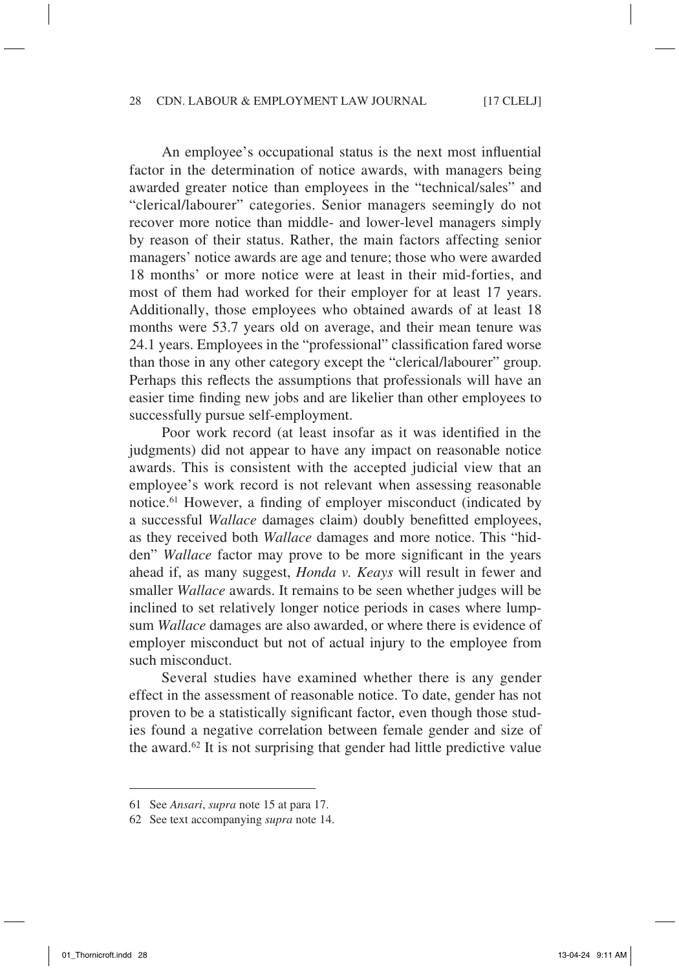An employee's occupational status is the next most influential factor in the determination of notice awards, with managers being awarded greater notice than employees in the "technical/sales" and "clerical/labourer" categories. Senior managers seemingly do not recover more notice than middle- and lower-level managers simply by reason of their status. Rather, the main factors affecting senior managers' notice awards are age and tenure; those who were awarded 18 months' or more notice were at least in their mid-forties, and most of them had worked for their employer for at least 17 years. Additionally, those employees who obtained awards of at least 18 months were 53.7 years old on average, and their mean tenure was 24.1 years. Employees in the "professional" classification fared worse than those in any other category except the "clerical/labourer" group. Perhaps this reflects the assumptions that professionals will have an easier time finding new jobs and are likelier than other employees to successfully pursue self-employment.

Poor work record (at least insofar as it was identified in the judgments) did not appear to have any impact on reasonable notice awards. This is consistent with the accepted judicial view that an employee's work record is not relevant when assessing reasonable notice.61 However, a finding of employer misconduct (indicated by a successful *Wallace* damages claim) doubly benefitted employees, as they received both *Wallace* damages and more notice. This "hidden" *Wallace* factor may prove to be more significant in the years ahead if, as many suggest, *Honda v. Keays* will result in fewer and smaller *Wallace* awards. It remains to be seen whether judges will be inclined to set relatively longer notice periods in cases where lumpsum *Wallace* damages are also awarded, or where there is evidence of employer misconduct but not of actual injury to the employee from such misconduct.

Several studies have examined whether there is any gender effect in the assessment of reasonable notice. To date, gender has not proven to be a statistically significant factor, even though those studies found a negative correlation between female gender and size of the award.62 It is not surprising that gender had little predictive value

<sup>61</sup> See *Ansari*, *supra* note 15 at para 17.

<sup>62</sup> See text accompanying *supra* note 14.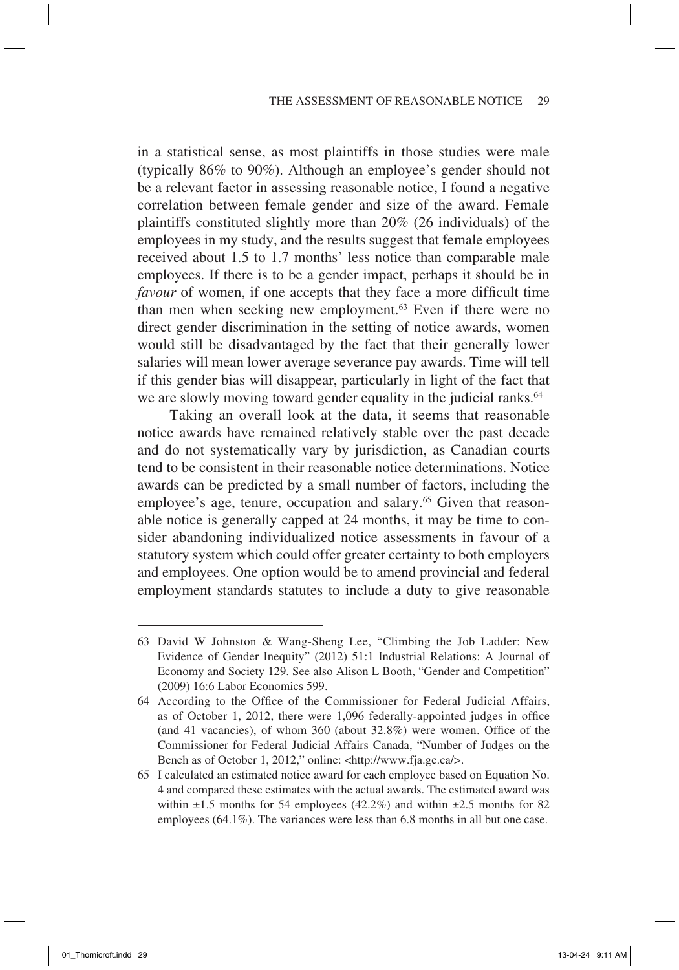in a statistical sense, as most plaintiffs in those studies were male (typically 86% to 90%). Although an employee's gender should not be a relevant factor in assessing reasonable notice, I found a negative correlation between female gender and size of the award. Female plaintiffs constituted slightly more than 20% (26 individuals) of the employees in my study, and the results suggest that female employees received about 1.5 to 1.7 months' less notice than comparable male employees. If there is to be a gender impact, perhaps it should be in *favour* of women, if one accepts that they face a more difficult time than men when seeking new employment.<sup>63</sup> Even if there were no direct gender discrimination in the setting of notice awards, women would still be disadvantaged by the fact that their generally lower salaries will mean lower average severance pay awards. Time will tell if this gender bias will disappear, particularly in light of the fact that we are slowly moving toward gender equality in the judicial ranks.<sup>64</sup>

Taking an overall look at the data, it seems that reasonable notice awards have remained relatively stable over the past decade and do not systematically vary by jurisdiction, as Canadian courts tend to be consistent in their reasonable notice determinations. Notice awards can be predicted by a small number of factors, including the employee's age, tenure, occupation and salary.<sup>65</sup> Given that reasonable notice is generally capped at 24 months, it may be time to consider abandoning individualized notice assessments in favour of a statutory system which could offer greater certainty to both employers and employees. One option would be to amend provincial and federal employment standards statutes to include a duty to give reasonable

<sup>63</sup> David W Johnston & Wang-Sheng Lee, "Climbing the Job Ladder: New Evidence of Gender Inequity" (2012) 51:1 Industrial Relations: A Journal of Economy and Society 129. See also Alison L Booth, "Gender and Competition" (2009) 16:6 Labor Economics 599.

<sup>64</sup> According to the Office of the Commissioner for Federal Judicial Affairs, as of October 1, 2012, there were 1,096 federally-appointed judges in office (and 41 vacancies), of whom 360 (about 32.8%) were women. Office of the Commissioner for Federal Judicial Affairs Canada, "Number of Judges on the Bench as of October 1, 2012," online: <http://www.fja.gc.ca/>.

<sup>65</sup> I calculated an estimated notice award for each employee based on Equation No. 4 and compared these estimates with the actual awards. The estimated award was within  $\pm 1.5$  months for 54 employees (42.2%) and within  $\pm 2.5$  months for 82 employees (64.1%). The variances were less than 6.8 months in all but one case.